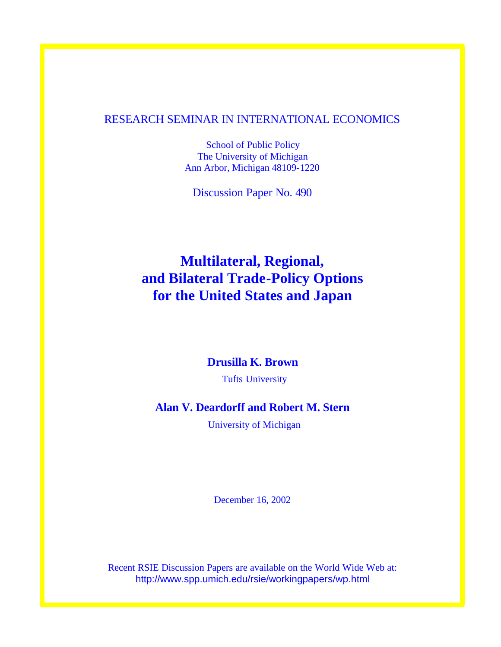# RESEARCH SEMINAR IN INTERNATIONAL ECONOMICS

School of Public Policy The University of Michigan Ann Arbor, Michigan 48109-1220

Discussion Paper No. 490

# **Multilateral, Regional, and Bilateral Trade-Policy Options for the United States and Japan**

# **Drusilla K. Brown**

Tufts University

# **Alan V. Deardorff and Robert M. Stern**

University of Michigan

December 16, 2002

Recent RSIE Discussion Papers are available on the World Wide Web at: http://www.spp.umich.edu/rsie/workingpapers/wp.html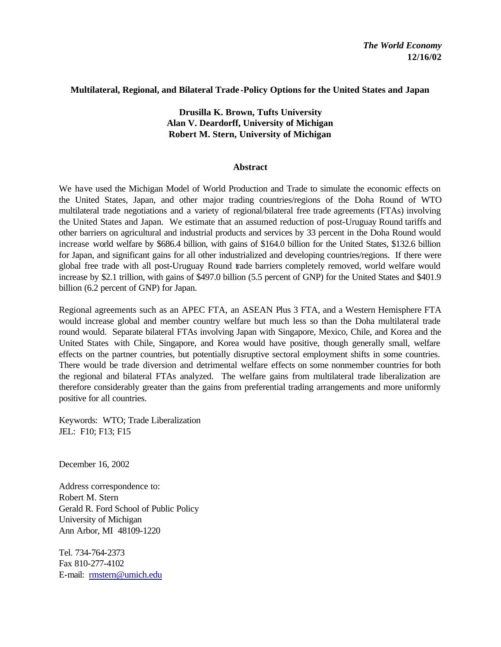## **Multilateral, Regional, and Bilateral Trade -Policy Options for the United States and Japan**

# **Drusilla K. Brown, Tufts University Alan V. Deardorff, University of Michigan Robert M. Stern, University of Michigan**

## **Abstract**

We have used the Michigan Model of World Production and Trade to simulate the economic effects on the United States, Japan, and other major trading countries/regions of the Doha Round of WTO multilateral trade negotiations and a variety of regional/bilateral free trade agreements (FTAs) involving the United States and Japan. We estimate that an assumed reduction of post-Uruguay Round tariffs and other barriers on agricultural and industrial products and services by 33 percent in the Doha Round would increase world welfare by \$686.4 billion, with gains of \$164.0 billion for the United States, \$132.6 billion for Japan, and significant gains for all other industrialized and developing countries/regions. If there were global free trade with all post-Uruguay Round trade barriers completely removed, world welfare would increase by \$2.1 trillion, with gains of \$497.0 billion (5.5 percent of GNP) for the United States and \$401.9 billion (6.2 percent of GNP) for Japan.

Regional agreements such as an APEC FTA, an ASEAN Plus 3 FTA, and a Western Hemisphere FTA would increase global and member country welfare but much less so than the Doha multilateral trade round would. Separate bilateral FTAs involving Japan with Singapore, Mexico, Chile, and Korea and the United States with Chile, Singapore, and Korea would have positive, though generally small, welfare effects on the partner countries, but potentially disruptive sectoral employment shifts in some countries. There would be trade diversion and detrimental welfare effects on some nonmember countries for both the regional and bilateral FTAs analyzed. The welfare gains from multilateral trade liberalization are therefore considerably greater than the gains from preferential trading arrangements and more uniformly positive for all countries.

Keywords: WTO; Trade Liberalization JEL: F10; F13; F15

December 16, 2002

Address correspondence to: Robert M. Stern Gerald R. Ford School of Public Policy University of Michigan Ann Arbor, MI 48109-1220

Tel. 734-764-2373 Fax 810-277-4102 E-mail: rmstern@umich.edu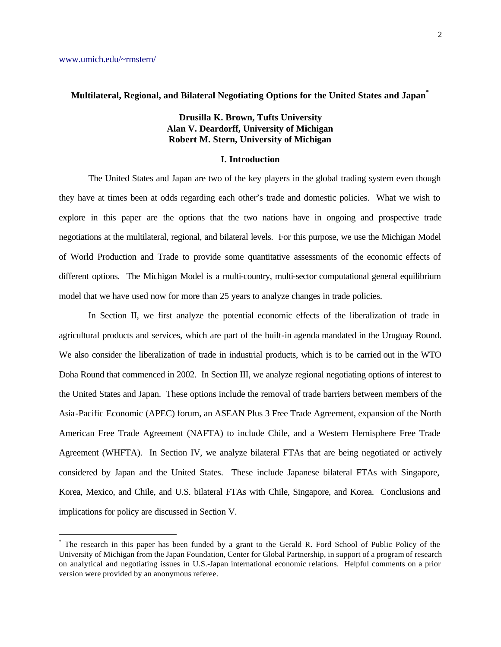$\overline{a}$ 

#### **Multilateral, Regional, and Bilateral Negotiating Options for the United States and Japan\***

## **Drusilla K. Brown, Tufts University Alan V. Deardorff, University of Michigan Robert M. Stern, University of Michigan**

#### **I. Introduction**

The United States and Japan are two of the key players in the global trading system even though they have at times been at odds regarding each other's trade and domestic policies. What we wish to explore in this paper are the options that the two nations have in ongoing and prospective trade negotiations at the multilateral, regional, and bilateral levels. For this purpose, we use the Michigan Model of World Production and Trade to provide some quantitative assessments of the economic effects of different options. The Michigan Model is a multi-country, multi-sector computational general equilibrium model that we have used now for more than 25 years to analyze changes in trade policies.

In Section II, we first analyze the potential economic effects of the liberalization of trade in agricultural products and services, which are part of the built-in agenda mandated in the Uruguay Round. We also consider the liberalization of trade in industrial products, which is to be carried out in the WTO Doha Round that commenced in 2002. In Section III, we analyze regional negotiating options of interest to the United States and Japan. These options include the removal of trade barriers between members of the Asia-Pacific Economic (APEC) forum, an ASEAN Plus 3 Free Trade Agreement, expansion of the North American Free Trade Agreement (NAFTA) to include Chile, and a Western Hemisphere Free Trade Agreement (WHFTA). In Section IV, we analyze bilateral FTAs that are being negotiated or actively considered by Japan and the United States. These include Japanese bilateral FTAs with Singapore, Korea, Mexico, and Chile, and U.S. bilateral FTAs with Chile, Singapore, and Korea. Conclusions and implications for policy are discussed in Section V.

<sup>\*</sup> The research in this paper has been funded by a grant to the Gerald R. Ford School of Public Policy of the University of Michigan from the Japan Foundation, Center for Global Partnership, in support of a program of research on analytical and negotiating issues in U.S.-Japan international economic relations. Helpful comments on a prior version were provided by an anonymous referee.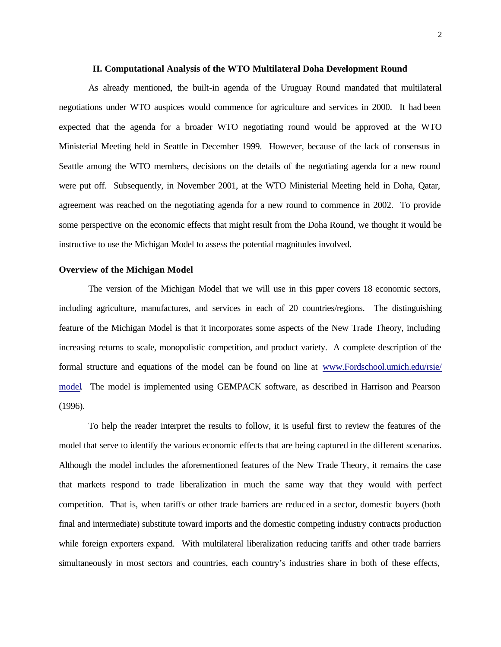#### **II. Computational Analysis of the WTO Multilateral Doha Development Round**

As already mentioned, the built-in agenda of the Uruguay Round mandated that multilateral negotiations under WTO auspices would commence for agriculture and services in 2000. It had been expected that the agenda for a broader WTO negotiating round would be approved at the WTO Ministerial Meeting held in Seattle in December 1999. However, because of the lack of consensus in Seattle among the WTO members, decisions on the details of the negotiating agenda for a new round were put off. Subsequently, in November 2001, at the WTO Ministerial Meeting held in Doha, Qatar, agreement was reached on the negotiating agenda for a new round to commence in 2002. To provide some perspective on the economic effects that might result from the Doha Round, we thought it would be instructive to use the Michigan Model to assess the potential magnitudes involved.

#### **Overview of the Michigan Model**

The version of the Michigan Model that we will use in this paper covers 18 economic sectors, including agriculture, manufactures, and services in each of 20 countries/regions. The distinguishing feature of the Michigan Model is that it incorporates some aspects of the New Trade Theory, including increasing returns to scale, monopolistic competition, and product variety. A complete description of the formal structure and equations of the model can be found on line at www.Fordschool.umich.edu/rsie/ model. The model is implemented using GEMPACK software, as described in Harrison and Pearson (1996).

To help the reader interpret the results to follow, it is useful first to review the features of the model that serve to identify the various economic effects that are being captured in the different scenarios. Although the model includes the aforementioned features of the New Trade Theory, it remains the case that markets respond to trade liberalization in much the same way that they would with perfect competition. That is, when tariffs or other trade barriers are reduced in a sector, domestic buyers (both final and intermediate) substitute toward imports and the domestic competing industry contracts production while foreign exporters expand. With multilateral liberalization reducing tariffs and other trade barriers simultaneously in most sectors and countries, each country's industries share in both of these effects,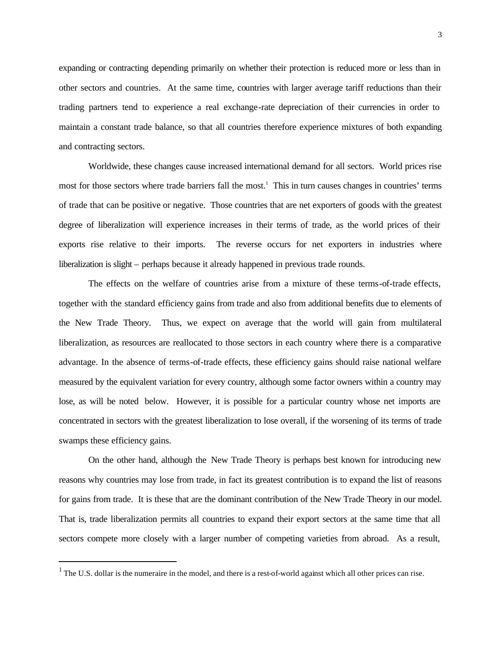expanding or contracting depending primarily on whether their protection is reduced more or less than in other sectors and countries. At the same time, countries with larger average tariff reductions than their trading partners tend to experience a real exchange-rate depreciation of their currencies in order to maintain a constant trade balance, so that all countries therefore experience mixtures of both expanding and contracting sectors.

Worldwide, these changes cause increased international demand for all sectors. World prices rise most for those sectors where trade barriers fall the most.<sup>1</sup> This in turn causes changes in countries' terms of trade that can be positive or negative. Those countries that are net exporters of goods with the greatest degree of liberalization will experience increases in their terms of trade, as the world prices of their exports rise relative to their imports. The reverse occurs for net exporters in industries where liberalization is slight – perhaps because it already happened in previous trade rounds.

The effects on the welfare of countries arise from a mixture of these terms-of-trade effects, together with the standard efficiency gains from trade and also from additional benefits due to elements of the New Trade Theory. Thus, we expect on average that the world will gain from multilateral liberalization, as resources are reallocated to those sectors in each country where there is a comparative advantage. In the absence of terms-of-trade effects, these efficiency gains should raise national welfare measured by the equivalent variation for every country, although some factor owners within a country may lose, as will be noted below. However, it is possible for a particular country whose net imports are concentrated in sectors with the greatest liberalization to lose overall, if the worsening of its terms of trade swamps these efficiency gains.

On the other hand, although the New Trade Theory is perhaps best known for introducing new reasons why countries may lose from trade, in fact its greatest contribution is to expand the list of reasons for gains from trade. It is these that are the dominant contribution of the New Trade Theory in our model. That is, trade liberalization permits all countries to expand their export sectors at the same time that all sectors compete more closely with a larger number of competing varieties from abroad. As a result,

 $<sup>1</sup>$  The U.S. dollar is the numeraire in the model, and there is a rest-of-world against which all other prices can rise.</sup>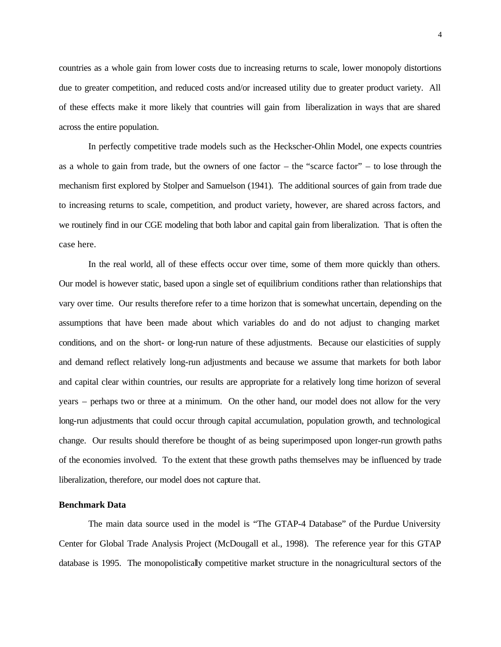countries as a whole gain from lower costs due to increasing returns to scale, lower monopoly distortions due to greater competition, and reduced costs and/or increased utility due to greater product variety. All of these effects make it more likely that countries will gain from liberalization in ways that are shared across the entire population.

In perfectly competitive trade models such as the Heckscher-Ohlin Model, one expects countries as a whole to gain from trade, but the owners of one factor – the "scarce factor" – to lose through the mechanism first explored by Stolper and Samuelson (1941). The additional sources of gain from trade due to increasing returns to scale, competition, and product variety, however, are shared across factors, and we routinely find in our CGE modeling that both labor and capital gain from liberalization. That is often the case here.

In the real world, all of these effects occur over time, some of them more quickly than others. Our model is however static, based upon a single set of equilibrium conditions rather than relationships that vary over time. Our results therefore refer to a time horizon that is somewhat uncertain, depending on the assumptions that have been made about which variables do and do not adjust to changing market conditions, and on the short- or long-run nature of these adjustments. Because our elasticities of supply and demand reflect relatively long-run adjustments and because we assume that markets for both labor and capital clear within countries, our results are appropriate for a relatively long time horizon of several years – perhaps two or three at a minimum. On the other hand, our model does not allow for the very long-run adjustments that could occur through capital accumulation, population growth, and technological change. Our results should therefore be thought of as being superimposed upon longer-run growth paths of the economies involved. To the extent that these growth paths themselves may be influenced by trade liberalization, therefore, our model does not capture that.

#### **Benchmark Data**

The main data source used in the model is "The GTAP-4 Database" of the Purdue University Center for Global Trade Analysis Project (McDougall et al., 1998). The reference year for this GTAP database is 1995. The monopolistically competitive market structure in the nonagricultural sectors of the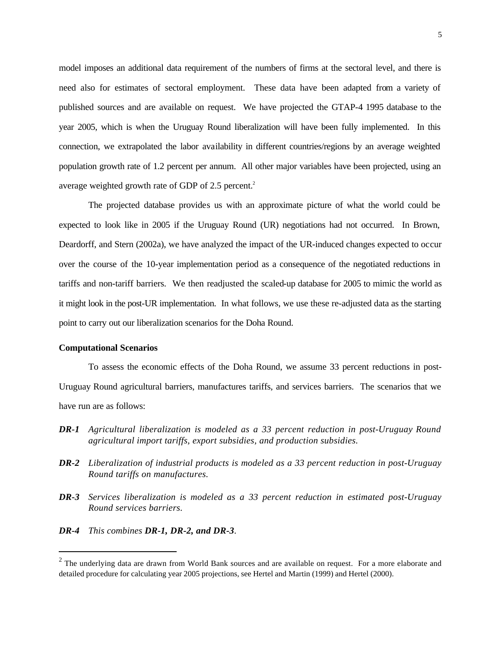model imposes an additional data requirement of the numbers of firms at the sectoral level, and there is need also for estimates of sectoral employment. These data have been adapted from a variety of published sources and are available on request. We have projected the GTAP-4 1995 database to the year 2005, which is when the Uruguay Round liberalization will have been fully implemented. In this connection, we extrapolated the labor availability in different countries/regions by an average weighted population growth rate of 1.2 percent per annum. All other major variables have been projected, using an average weighted growth rate of GDP of  $2.5$  percent.<sup>2</sup>

The projected database provides us with an approximate picture of what the world could be expected to look like in 2005 if the Uruguay Round (UR) negotiations had not occurred. In Brown, Deardorff, and Stern (2002a), we have analyzed the impact of the UR-induced changes expected to occur over the course of the 10-year implementation period as a consequence of the negotiated reductions in tariffs and non-tariff barriers. We then readjusted the scaled-up database for 2005 to mimic the world as it might look in the post-UR implementation. In what follows, we use these re-adjusted data as the starting point to carry out our liberalization scenarios for the Doha Round.

#### **Computational Scenarios**

 $\overline{a}$ 

To assess the economic effects of the Doha Round, we assume 33 percent reductions in post-Uruguay Round agricultural barriers, manufactures tariffs, and services barriers. The scenarios that we have run are as follows:

- *DR-1 Agricultural liberalization is modeled as a 33 percent reduction in post-Uruguay Round agricultural import tariffs, export subsidies, and production subsidies.*
- *DR-2 Liberalization of industrial products is modeled as a 33 percent reduction in post-Uruguay Round tariffs on manufactures.*
- *DR-3 Services liberalization is modeled as a 33 percent reduction in estimated post-Uruguay Round services barriers.*
- *DR-4 This combines DR-1, DR-2, and DR-3.*

 $2$  The underlying data are drawn from World Bank sources and are available on request. For a more elaborate and detailed procedure for calculating year 2005 projections, see Hertel and Martin (1999) and Hertel (2000).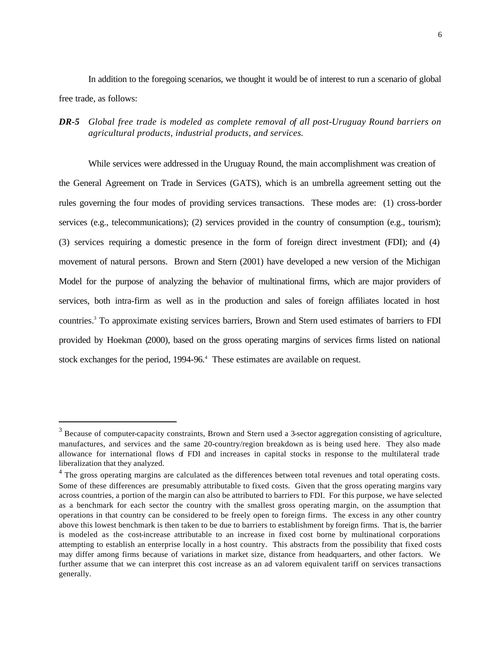In addition to the foregoing scenarios, we thought it would be of interest to run a scenario of global free trade, as follows:

*DR-5 Global free trade is modeled as complete removal of all post-Uruguay Round barriers on agricultural products, industrial products, and services.*

While services were addressed in the Uruguay Round, the main accomplishment was creation of the General Agreement on Trade in Services (GATS), which is an umbrella agreement setting out the rules governing the four modes of providing services transactions. These modes are: (1) cross-border services (e.g., telecommunications); (2) services provided in the country of consumption (e.g., tourism); (3) services requiring a domestic presence in the form of foreign direct investment (FDI); and (4) movement of natural persons. Brown and Stern (2001) have developed a new version of the Michigan Model for the purpose of analyzing the behavior of multinational firms, which are major providers of services, both intra-firm as well as in the production and sales of foreign affiliates located in host countries.<sup>3</sup> To approximate existing services barriers, Brown and Stern used estimates of barriers to FDI provided by Hoekman (2000), based on the gross operating margins of services firms listed on national stock exchanges for the period, 1994-96.<sup>4</sup> These estimates are available on request.

 $3$  Because of computer-capacity constraints, Brown and Stern used a 3-sector aggregation consisting of agriculture, manufactures, and services and the same 20-country/region breakdown as is being used here. They also made allowance for international flows of FDI and increases in capital stocks in response to the multilateral trade liberalization that they analyzed.

 $4$  The gross operating margins are calculated as the differences between total revenues and total operating costs. Some of these differences are presumably attributable to fixed costs. Given that the gross operating margins vary across countries, a portion of the margin can also be attributed to barriers to FDI. For this purpose, we have selected as a benchmark for each sector the country with the smallest gross operating margin, on the assumption that operations in that country can be considered to be freely open to foreign firms. The excess in any other country above this lowest benchmark is then taken to be due to barriers to establishment by foreign firms. That is, the barrier is modeled as the cost-increase attributable to an increase in fixed cost borne by multinational corporations attempting to establish an enterprise locally in a host country. This abstracts from the possibility that fixed costs may differ among firms because of variations in market size, distance from headquarters, and other factors. We further assume that we can interpret this cost increase as an ad valorem equivalent tariff on services transactions generally.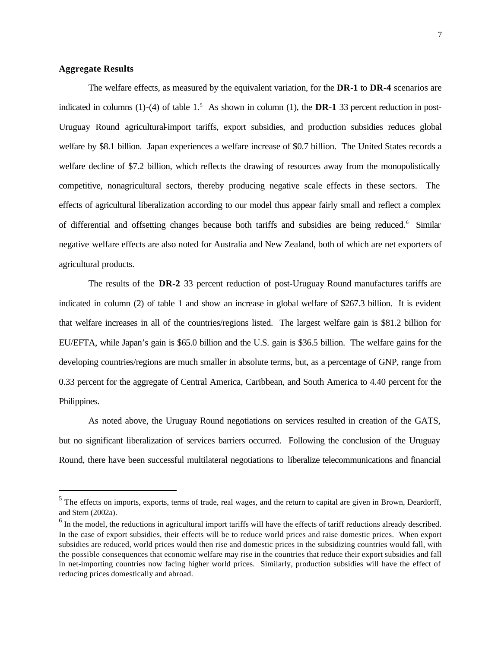#### **Aggregate Results**

 $\overline{a}$ 

The welfare effects, as measured by the equivalent variation, for the **DR-1** to **DR-4** scenarios are indicated in columns  $(1)$ - $(4)$  of table  $1<sup>5</sup>$ . As shown in column  $(1)$ , the **DR-1** 33 percent reduction in post-Uruguay Round agricultural-import tariffs, export subsidies, and production subsidies reduces global welfare by \$8.1 billion. Japan experiences a welfare increase of \$0.7 billion. The United States records a welfare decline of \$7.2 billion, which reflects the drawing of resources away from the monopolistically competitive, nonagricultural sectors, thereby producing negative scale effects in these sectors. The effects of agricultural liberalization according to our model thus appear fairly small and reflect a complex of differential and offsetting changes because both tariffs and subsidies are being reduced.<sup>6</sup> Similar negative welfare effects are also noted for Australia and New Zealand, both of which are net exporters of agricultural products.

The results of the **DR-2** 33 percent reduction of post-Uruguay Round manufactures tariffs are indicated in column (2) of table 1 and show an increase in global welfare of \$267.3 billion. It is evident that welfare increases in all of the countries/regions listed. The largest welfare gain is \$81.2 billion for EU/EFTA, while Japan's gain is \$65.0 billion and the U.S. gain is \$36.5 billion. The welfare gains for the developing countries/regions are much smaller in absolute terms, but, as a percentage of GNP, range from 0.33 percent for the aggregate of Central America, Caribbean, and South America to 4.40 percent for the Philippines.

As noted above, the Uruguay Round negotiations on services resulted in creation of the GATS, but no significant liberalization of services barriers occurred. Following the conclusion of the Uruguay Round, there have been successful multilateral negotiations to liberalize telecommunications and financial

<sup>&</sup>lt;sup>5</sup> The effects on imports, exports, terms of trade, real wages, and the return to capital are given in Brown, Deardorff, and Stern (2002a).

 $<sup>6</sup>$  In the model, the reductions in agricultural import tariffs will have the effects of tariff reductions already described.</sup> In the case of export subsidies, their effects will be to reduce world prices and raise domestic prices. When export subsidies are reduced, world prices would then rise and domestic prices in the subsidizing countries would fall, with the possible consequences that economic welfare may rise in the countries that reduce their export subsidies and fall in net-importing countries now facing higher world prices. Similarly, production subsidies will have the effect of reducing prices domestically and abroad.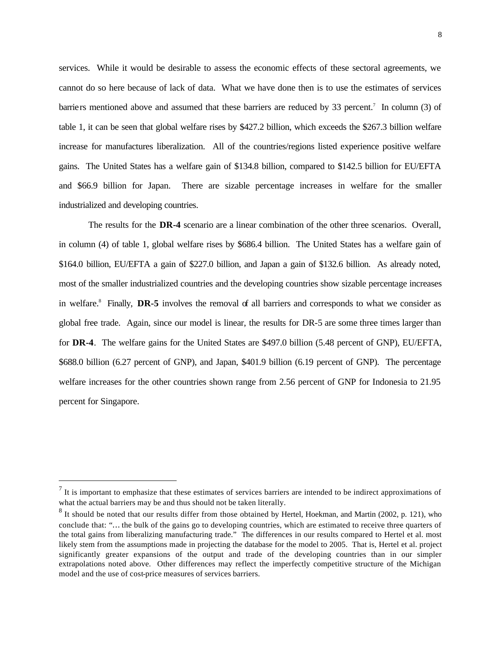services. While it would be desirable to assess the economic effects of these sectoral agreements, we cannot do so here because of lack of data. What we have done then is to use the estimates of services barriers mentioned above and assumed that these barriers are reduced by 33 percent.<sup>7</sup> In column (3) of table 1, it can be seen that global welfare rises by \$427.2 billion, which exceeds the \$267.3 billion welfare increase for manufactures liberalization. All of the countries/regions listed experience positive welfare gains. The United States has a welfare gain of \$134.8 billion, compared to \$142.5 billion for EU/EFTA and \$66.9 billion for Japan. There are sizable percentage increases in welfare for the smaller industrialized and developing countries.

The results for the **DR-4** scenario are a linear combination of the other three scenarios. Overall, in column (4) of table 1, global welfare rises by \$686.4 billion. The United States has a welfare gain of \$164.0 billion, EU/EFTA a gain of \$227.0 billion, and Japan a gain of \$132.6 billion. As already noted, most of the smaller industrialized countries and the developing countries show sizable percentage increases in welfare.<sup>8</sup> Finally, **DR-5** involves the removal of all barriers and corresponds to what we consider as global free trade. Again, since our model is linear, the results for DR-5 are some three times larger than for **DR-4**. The welfare gains for the United States are \$497.0 billion (5.48 percent of GNP), EU/EFTA, \$688.0 billion (6.27 percent of GNP), and Japan, \$401.9 billion (6.19 percent of GNP). The percentage welfare increases for the other countries shown range from 2.56 percent of GNP for Indonesia to 21.95 percent for Singapore.

 $<sup>7</sup>$  It is important to emphasize that these estimates of services barriers are intended to be indirect approximations of</sup> what the actual barriers may be and thus should not be taken literally.

 $8$  It should be noted that our results differ from those obtained by Hertel, Hoekman, and Martin (2002, p. 121), who conclude that: "… the bulk of the gains go to developing countries, which are estimated to receive three quarters of the total gains from liberalizing manufacturing trade." The differences in our results compared to Hertel et al. most likely stem from the assumptions made in projecting the database for the model to 2005. That is, Hertel et al. project significantly greater expansions of the output and trade of the developing countries than in our simpler extrapolations noted above. Other differences may reflect the imperfectly competitive structure of the Michigan model and the use of cost-price measures of services barriers.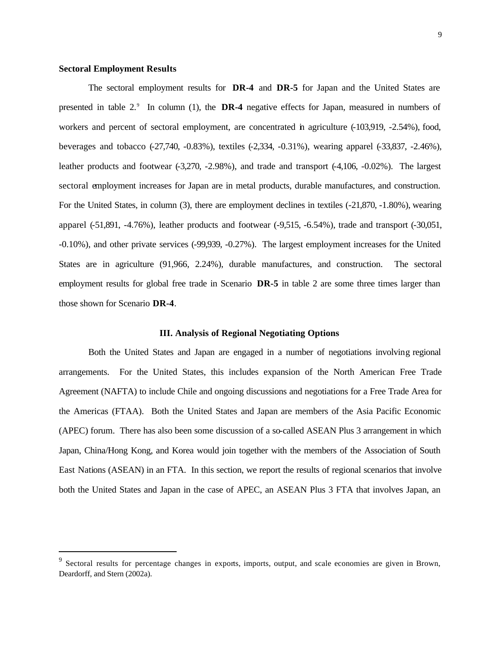#### **Sectoral Employment Results**

 $\overline{a}$ 

The sectoral employment results for **DR-4** and **DR-5** for Japan and the United States are presented in table  $2<sup>9</sup>$ . In column (1), the **DR-4** negative effects for Japan, measured in numbers of workers and percent of sectoral employment, are concentrated in agriculture  $(-103,919, -2.54\%)$ , food, beverages and tobacco (-27,740, -0.83%), textiles (-2,334, -0.31%), wearing apparel (-33,837, -2.46%), leather products and footwear (-3,270, -2.98%), and trade and transport (-4,106, -0.02%). The largest sectoral employment increases for Japan are in metal products, durable manufactures, and construction. For the United States, in column (3), there are employment declines in textiles (-21,870, -1.80%), wearing apparel (-51,891, -4.76%), leather products and footwear (-9,515, -6.54%), trade and transport (-30,051, -0.10%), and other private services (-99,939, -0.27%). The largest employment increases for the United States are in agriculture (91,966, 2.24%), durable manufactures, and construction. The sectoral employment results for global free trade in Scenario **DR-5** in table 2 are some three times larger than those shown for Scenario **DR-4**.

#### **III. Analysis of Regional Negotiating Options**

Both the United States and Japan are engaged in a number of negotiations involving regional arrangements. For the United States, this includes expansion of the North American Free Trade Agreement (NAFTA) to include Chile and ongoing discussions and negotiations for a Free Trade Area for the Americas (FTAA). Both the United States and Japan are members of the Asia Pacific Economic (APEC) forum. There has also been some discussion of a so-called ASEAN Plus 3 arrangement in which Japan, China/Hong Kong, and Korea would join together with the members of the Association of South East Nations (ASEAN) in an FTA. In this section, we report the results of regional scenarios that involve both the United States and Japan in the case of APEC, an ASEAN Plus 3 FTA that involves Japan, an

<sup>&</sup>lt;sup>9</sup> Sectoral results for percentage changes in exports, imports, output, and scale economies are given in Brown, Deardorff, and Stern (2002a).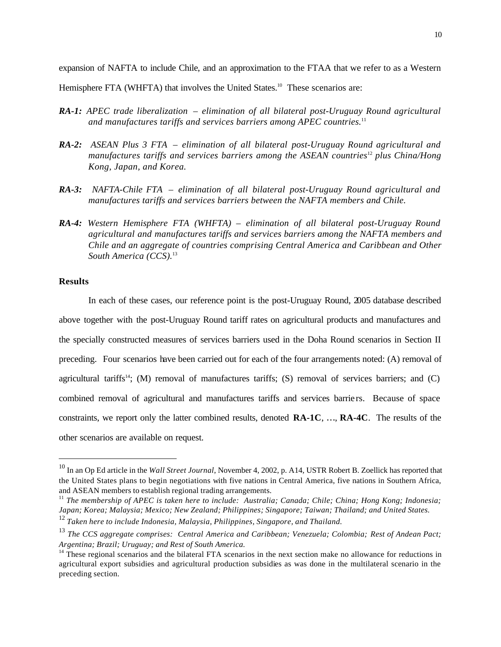expansion of NAFTA to include Chile, and an approximation to the FTAA that we refer to as a Western

Hemisphere FTA (WHFTA) that involves the United States.<sup>10</sup> These scenarios are:

- *RA-1: APEC trade liberalization elimination of all bilateral post-Uruguay Round agricultural and manufactures tariffs and services barriers among APEC countries.*<sup>11</sup>
- *RA-2: ASEAN Plus 3 FTA elimination of all bilateral post-Uruguay Round agricultural and manufactures tariffs and services barriers among the ASEAN countries*<sup>12</sup> *plus China/Hong Kong, Japan, and Korea.*
- *RA-3: NAFTA-Chile FTA elimination of all bilateral post-Uruguay Round agricultural and manufactures tariffs and services barriers between the NAFTA members and Chile.*
- *RA-4: Western Hemisphere FTA (WHFTA) elimination of all bilateral post-Uruguay Round agricultural and manufactures tariffs and services barriers among the NAFTA members and Chile and an aggregate of countries comprising Central America and Caribbean and Other South America (CCS).*<sup>13</sup>

## **Results**

 $\overline{a}$ 

In each of these cases, our reference point is the post-Uruguay Round, 2005 database described above together with the post-Uruguay Round tariff rates on agricultural products and manufactures and the specially constructed measures of services barriers used in the Doha Round scenarios in Section II preceding. Four scenarios have been carried out for each of the four arrangements noted: (A) removal of agricultural tariffs<sup>14</sup>; (M) removal of manufactures tariffs; (S) removal of services barriers; and (C) combined removal of agricultural and manufactures tariffs and services barrie rs. Because of space constraints, we report only the latter combined results, denoted **RA-1C**, …, **RA-4C**. The results of the other scenarios are available on request.

<sup>10</sup> In an Op Ed article in the *Wall Street Journal*, November 4, 2002, p. A14, USTR Robert B. Zoellick has reported that the United States plans to begin negotiations with five nations in Central America, five nations in Southern Africa, and ASEAN members to establish regional trading arrangements.

<sup>&</sup>lt;sup>11</sup> The membership of APEC is taken here to include: Australia; Canada; Chile; China; Hong Kong; Indonesia; *Japan; Korea; Malaysia; Mexico; New Zealand; Philippines; Singapore; Taiwan; Thailand; and United States.* <sup>12</sup> *Taken here to include Indonesia, Malaysia, Philippines, Singapore, and Thailand.*

<sup>13</sup> *The CCS aggregate comprises: Central America and Caribbean; Venezuela; Colombia; Rest of Andean Pact; Argentina; Brazil; Uruguay; and Rest of South America.*

 $14$  These regional scenarios and the bilateral FTA scenarios in the next section make no allowance for reductions in agricultural export subsidies and agricultural production subsidies as was done in the multilateral scenario in the preceding section.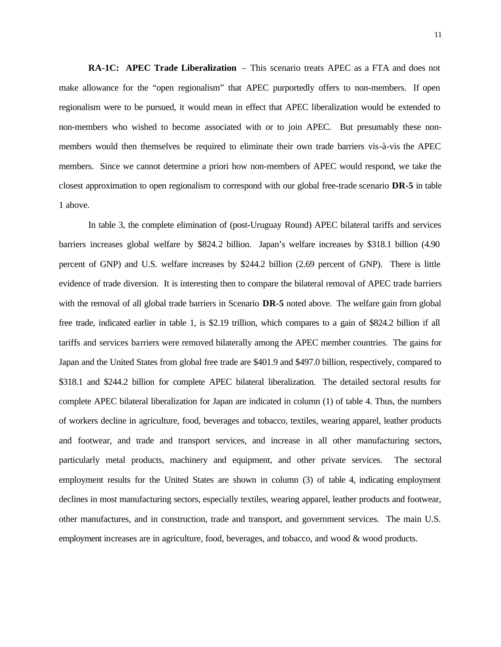**RA-1C: APEC Trade Liberalization** – This scenario treats APEC as a FTA and does not make allowance for the "open regionalism" that APEC purportedly offers to non-members. If open regionalism were to be pursued, it would mean in effect that APEC liberalization would be extended to non-members who wished to become associated with or to join APEC. But presumably these nonmembers would then themselves be required to eliminate their own trade barriers vis-à-vis the APEC members. Since we cannot determine a priori how non-members of APEC would respond, we take the closest approximation to open regionalism to correspond with our global free-trade scenario **DR-5** in table 1 above.

In table 3, the complete elimination of (post-Uruguay Round) APEC bilateral tariffs and services barriers increases global welfare by \$824.2 billion. Japan's welfare increases by \$318.1 billion (4.90 percent of GNP) and U.S. welfare increases by \$244.2 billion (2.69 percent of GNP). There is little evidence of trade diversion. It is interesting then to compare the bilateral removal of APEC trade barriers with the removal of all global trade barriers in Scenario **DR-5** noted above. The welfare gain from global free trade, indicated earlier in table 1, is \$2.19 trillion, which compares to a gain of \$824.2 billion if all tariffs and services barriers were removed bilaterally among the APEC member countries. The gains for Japan and the United States from global free trade are \$401.9 and \$497.0 billion, respectively, compared to \$318.1 and \$244.2 billion for complete APEC bilateral liberalization. The detailed sectoral results for complete APEC bilateral liberalization for Japan are indicated in column (1) of table 4. Thus, the numbers of workers decline in agriculture, food, beverages and tobacco, textiles, wearing apparel, leather products and footwear, and trade and transport services, and increase in all other manufacturing sectors, particularly metal products, machinery and equipment, and other private services. The sectoral employment results for the United States are shown in column (3) of table 4, indicating employment declines in most manufacturing sectors, especially textiles, wearing apparel, leather products and footwear, other manufactures, and in construction, trade and transport, and government services. The main U.S. employment increases are in agriculture, food, beverages, and tobacco, and wood  $\&$  wood products.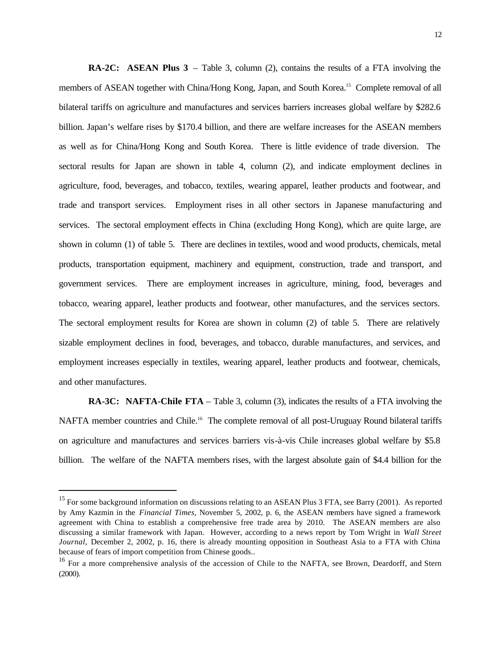**RA-2C: ASEAN Plus 3** – Table 3, column (2), contains the results of a FTA involving the members of ASEAN together with China/Hong Kong, Japan, and South Korea.<sup>15</sup> Complete removal of all bilateral tariffs on agriculture and manufactures and services barriers increases global welfare by \$282.6 billion. Japan's welfare rises by \$170.4 billion, and there are welfare increases for the ASEAN members as well as for China/Hong Kong and South Korea. There is little evidence of trade diversion. The sectoral results for Japan are shown in table 4, column (2), and indicate employment declines in agriculture, food, beverages, and tobacco, textiles, wearing apparel, leather products and footwear, and trade and transport services. Employment rises in all other sectors in Japanese manufacturing and services. The sectoral employment effects in China (excluding Hong Kong), which are quite large, are shown in column (1) of table 5. There are declines in textiles, wood and wood products, chemicals, metal products, transportation equipment, machinery and equipment, construction, trade and transport, and government services. There are employment increases in agriculture, mining, food, beverages and tobacco, wearing apparel, leather products and footwear, other manufactures, and the services sectors. The sectoral employment results for Korea are shown in column (2) of table 5. There are relatively sizable employment declines in food, beverages, and tobacco, durable manufactures, and services, and employment increases especially in textiles, wearing apparel, leather products and footwear, chemicals, and other manufactures.

**RA-3C: NAFTA-Chile FTA** – Table 3, column (3), indicates the results of a FTA involving the NAFTA member countries and Chile.<sup>16</sup> The complete removal of all post-Uruguay Round bilateral tariffs on agriculture and manufactures and services barriers vis-à-vis Chile increases global welfare by \$5.8 billion. The welfare of the NAFTA members rises, with the largest absolute gain of \$4.4 billion for the

<sup>&</sup>lt;sup>15</sup> For some background information on discussions relating to an ASEAN Plus 3 FTA, see Barry (2001). As reported by Amy Kazmin in the *Financial Times*, November 5, 2002, p. 6, the ASEAN members have signed a framework agreement with China to establish a comprehensive free trade area by 2010. The ASEAN members are also discussing a similar framework with Japan. However, according to a news report by Tom Wright in *Wall Street Journal*, December 2, 2002, p. 16, there is already mounting opposition in Southeast Asia to a FTA with China because of fears of import competition from Chinese goods..

<sup>&</sup>lt;sup>16</sup> For a more comprehensive analysis of the accession of Chile to the NAFTA, see Brown, Deardorff, and Stern (2000).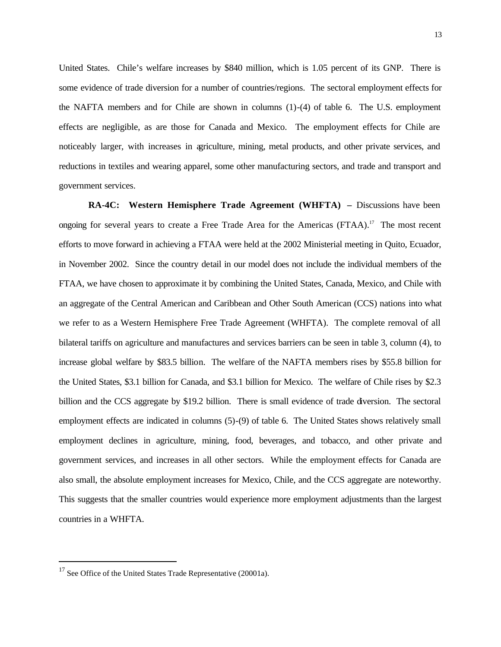United States. Chile's welfare increases by \$840 million, which is 1.05 percent of its GNP. There is some evidence of trade diversion for a number of countries/regions. The sectoral employment effects for the NAFTA members and for Chile are shown in columns (1)-(4) of table 6. The U.S. employment effects are negligible, as are those for Canada and Mexico. The employment effects for Chile are noticeably larger, with increases in agriculture, mining, metal products, and other private services, and reductions in textiles and wearing apparel, some other manufacturing sectors, and trade and transport and government services.

**RA-4C: Western Hemisphere Trade Agreement (WHFTA) –** Discussions have been ongoing for several years to create a Free Trade Area for the Americas (FTAA).<sup>17</sup> The most recent efforts to move forward in achieving a FTAA were held at the 2002 Ministerial meeting in Quito, Ecuador, in November 2002. Since the country detail in our model does not include the individual members of the FTAA, we have chosen to approximate it by combining the United States, Canada, Mexico, and Chile with an aggregate of the Central American and Caribbean and Other South American (CCS) nations into what we refer to as a Western Hemisphere Free Trade Agreement (WHFTA). The complete removal of all bilateral tariffs on agriculture and manufactures and services barriers can be seen in table 3, column (4), to increase global welfare by \$83.5 billion. The welfare of the NAFTA members rises by \$55.8 billion for the United States, \$3.1 billion for Canada, and \$3.1 billion for Mexico. The welfare of Chile rises by \$2.3 billion and the CCS aggregate by \$19.2 billion. There is small evidence of trade diversion. The sectoral employment effects are indicated in columns (5)-(9) of table 6. The United States shows relatively small employment declines in agriculture, mining, food, beverages, and tobacco, and other private and government services, and increases in all other sectors. While the employment effects for Canada are also small, the absolute employment increases for Mexico, Chile, and the CCS aggregate are noteworthy. This suggests that the smaller countries would experience more employment adjustments than the largest countries in a WHFTA.

<sup>&</sup>lt;sup>17</sup> See Office of the United States Trade Representative (20001a).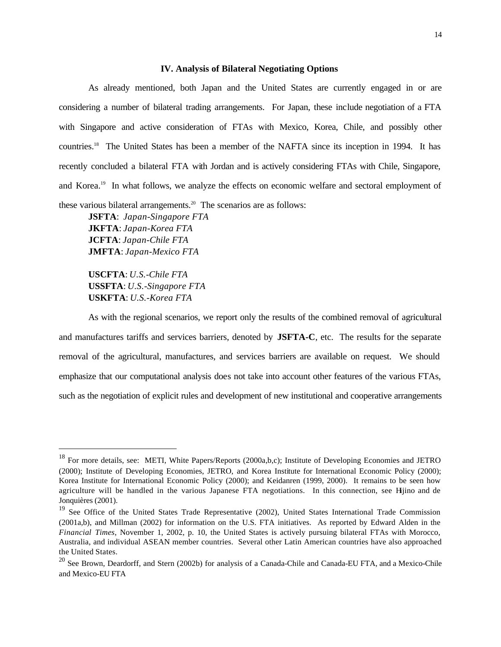#### **IV. Analysis of Bilateral Negotiating Options**

As already mentioned, both Japan and the United States are currently engaged in or are considering a number of bilateral trading arrangements. For Japan, these include negotiation of a FTA with Singapore and active consideration of FTAs with Mexico, Korea, Chile, and possibly other countries.<sup>18</sup> The United States has been a member of the NAFTA since its inception in 1994. It has recently concluded a bilateral FTA with Jordan and is actively considering FTAs with Chile, Singapore, and Korea.<sup>19</sup> In what follows, we analyze the effects on economic welfare and sectoral employment of these various bilateral arrangements.<sup>20</sup> The scenarios are as follows:

**JSFTA**: *Japan-Singapore FTA* **JKFTA**: *Japan-Korea FTA* **JCFTA**: *Japan-Chile FTA* **JMFTA**: *Japan-Mexico FTA*

**USCFTA**: *U.S.-Chile FTA* **USSFTA**: *U.S.-Singapore FTA* **USKFTA**: *U.S.-Korea FTA*

 $\overline{a}$ 

As with the regional scenarios, we report only the results of the combined removal of agricultural and manufactures tariffs and services barriers, denoted by **JSFTA-C**, etc. The results for the separate removal of the agricultural, manufactures, and services barriers are available on request. We should emphasize that our computational analysis does not take into account other features of the various FTAs, such as the negotiation of explicit rules and development of new institutional and cooperative arrangements

<sup>&</sup>lt;sup>18</sup> For more details, see: METI, White Papers/Reports (2000a,b,c); Institute of Developing Economies and JETRO (2000); Institute of Developing Economies, JETRO, and Korea Institute for International Economic Policy (2000); Korea Institute for International Economic Policy (2000); and Keidanren (1999, 2000). It remains to be seen how agriculture will be handled in the various Japanese FTA negotiations. In this connection, see Hijino and de Jonquières (2001).

<sup>&</sup>lt;sup>19</sup> See Office of the United States Trade Representative (2002), United States International Trade Commission (2001a,b), and Millman (2002) for information on the U.S. FTA initiatives. As reported by Edward Alden in the *Financial Times*, November 1, 2002, p. 10, the United States is actively pursuing bilateral FTAs with Morocco, Australia, and individual ASEAN member countries. Several other Latin American countries have also approached the United States.

<sup>&</sup>lt;sup>20</sup> See Brown, Deardorff, and Stern (2002b) for analysis of a Canada-Chile and Canada-EU FTA, and a Mexico-Chile and Mexico-EU FTA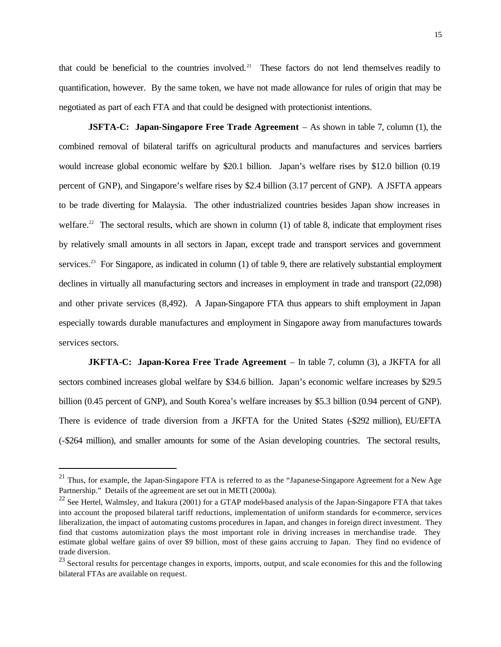that could be beneficial to the countries involved.<sup>21</sup> These factors do not lend themselves readily to quantification, however. By the same token, we have not made allowance for rules of origin that may be negotiated as part of each FTA and that could be designed with protectionist intentions.

**JSFTA-C: Japan-Singapore Free Trade Agreement** – As shown in table 7, column (1), the combined removal of bilateral tariffs on agricultural products and manufactures and services barriers would increase global economic welfare by \$20.1 billion. Japan's welfare rises by \$12.0 billion (0.19 percent of GNP), and Singapore's welfare rises by \$2.4 billion (3.17 percent of GNP). A JSFTA appears to be trade diverting for Malaysia. The other industrialized countries besides Japan show increases in welfare.<sup>22</sup> The sectoral results, which are shown in column (1) of table 8, indicate that employment rises by relatively small amounts in all sectors in Japan, except trade and transport services and government services.<sup>23</sup> For Singapore, as indicated in column (1) of table 9, there are relatively substantial employment declines in virtually all manufacturing sectors and increases in employment in trade and transport (22,098) and other private services (8,492). A Japan-Singapore FTA thus appears to shift employment in Japan especially towards durable manufactures and employment in Singapore away from manufactures towards services sectors.

**JKFTA-C: Japan-Korea Free Trade Agreement** – In table 7, column (3), a JKFTA for all sectors combined increases global welfare by \$34.6 billion. Japan's economic welfare increases by \$29.5 billion (0.45 percent of GNP), and South Korea's welfare increases by \$5.3 billion (0.94 percent of GNP). There is evidence of trade diversion from a JKFTA for the United States (-\$292 million), EU/EFTA (-\$264 million), and smaller amounts for some of the Asian developing countries. The sectoral results,

<sup>&</sup>lt;sup>21</sup> Thus, for example, the Japan-Singapore FTA is referred to as the "Japanese-Singapore Agreement for a New Age Partnership." Details of the agreement are set out in METI (2000a).

 $22$  See Hertel, Walmsley, and Itakura (2001) for a GTAP model-based analysis of the Japan-Singapore FTA that takes into account the proposed bilateral tariff reductions, implementation of uniform standards for e-commerce, services liberalization, the impact of automating customs procedures in Japan, and changes in foreign direct investment. They find that customs automization plays the most important role in driving increases in merchandise trade. They estimate global welfare gains of over \$9 billion, most of these gains accruing to Japan. They find no evidence of trade diversion.

<sup>&</sup>lt;sup>23</sup> Sectoral results for percentage changes in exports, imports, output, and scale economies for this and the following bilateral FTAs are available on request.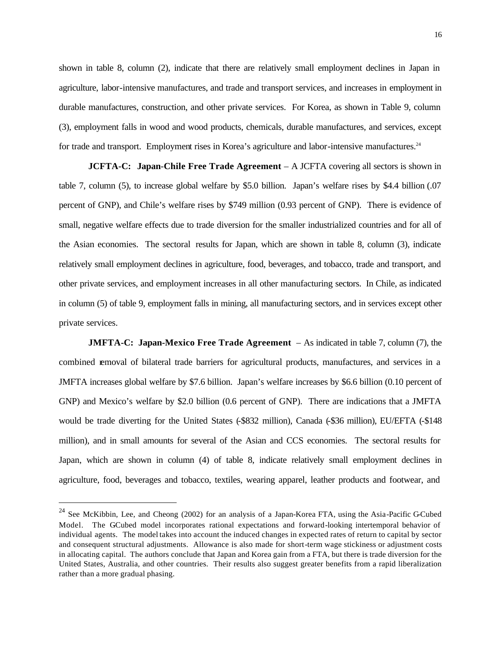shown in table 8, column (2), indicate that there are relatively small employment declines in Japan in agriculture, labor-intensive manufactures, and trade and transport services, and increases in employment in durable manufactures, construction, and other private services. For Korea, as shown in Table 9, column (3), employment falls in wood and wood products, chemicals, durable manufactures, and services, except for trade and transport. Employment rises in Korea's agriculture and labor-intensive manufactures.<sup>24</sup>

**JCFTA-C: Japan**-**Chile Free Trade Agreement** – A JCFTA covering all sectors is shown in table 7, column (5), to increase global welfare by \$5.0 billion. Japan's welfare rises by \$4.4 billion (.07 percent of GNP), and Chile's welfare rises by \$749 million (0.93 percent of GNP). There is evidence of small, negative welfare effects due to trade diversion for the smaller industrialized countries and for all of the Asian economies. The sectoral results for Japan, which are shown in table 8, column (3), indicate relatively small employment declines in agriculture, food, beverages, and tobacco, trade and transport, and other private services, and employment increases in all other manufacturing sectors. In Chile, as indicated in column (5) of table 9, employment falls in mining, all manufacturing sectors, and in services except other private services.

**JMFTA-C: Japan-Mexico Free Trade Agreement** – As indicated in table 7, column (7), the combined removal of bilateral trade barriers for agricultural products, manufactures, and services in a JMFTA increases global welfare by \$7.6 billion. Japan's welfare increases by \$6.6 billion (0.10 percent of GNP) and Mexico's welfare by \$2.0 billion (0.6 percent of GNP). There are indications that a JMFTA would be trade diverting for the United States (-\$832 million), Canada (-\$36 million), EU/EFTA (-\$148 million), and in small amounts for several of the Asian and CCS economies. The sectoral results for Japan, which are shown in column (4) of table 8, indicate relatively small employment declines in agriculture, food, beverages and tobacco, textiles, wearing apparel, leather products and footwear, and

<sup>&</sup>lt;sup>24</sup> See McKibbin, Lee, and Cheong (2002) for an analysis of a Japan-Korea FTA, using the Asia-Pacific G-Cubed Model. The GCubed model incorporates rational expectations and forward-looking intertemporal behavior of individual agents. The model takes into account the induced changes in expected rates of return to capital by sector and consequent structural adjustments. Allowance is also made for short-term wage stickiness or adjustment costs in allocating capital. The authors conclude that Japan and Korea gain from a FTA, but there is trade diversion for the United States, Australia, and other countries. Their results also suggest greater benefits from a rapid liberalization rather than a more gradual phasing.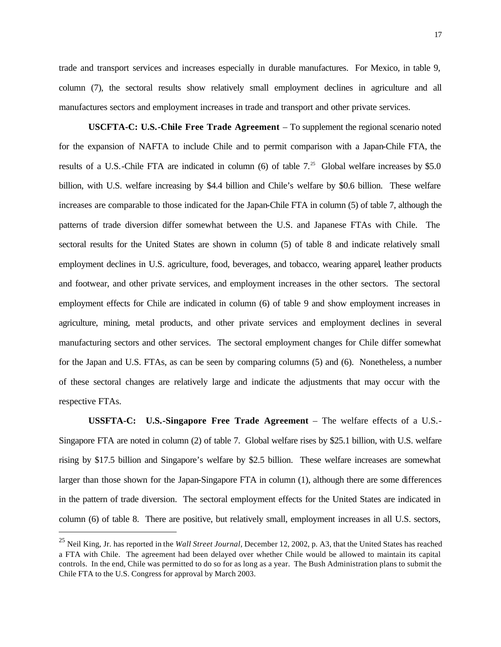17

trade and transport services and increases especially in durable manufactures. For Mexico, in table 9, column (7), the sectoral results show relatively small employment declines in agriculture and all manufactures sectors and employment increases in trade and transport and other private services.

**USCFTA-C: U.S.-Chile Free Trade Agreement** – To supplement the regional scenario noted for the expansion of NAFTA to include Chile and to permit comparison with a Japan-Chile FTA, the results of a U.S.-Chile FTA are indicated in column (6) of table  $7<sup>25</sup>$  Global welfare increases by \$5.0 billion, with U.S. welfare increasing by \$4.4 billion and Chile's welfare by \$0.6 billion. These welfare increases are comparable to those indicated for the Japan-Chile FTA in column (5) of table 7, although the patterns of trade diversion differ somewhat between the U.S. and Japanese FTAs with Chile. The sectoral results for the United States are shown in column (5) of table 8 and indicate relatively small employment declines in U.S. agriculture, food, beverages, and tobacco, wearing apparel, leather products and footwear, and other private services, and employment increases in the other sectors. The sectoral employment effects for Chile are indicated in column (6) of table 9 and show employment increases in agriculture, mining, metal products, and other private services and employment declines in several manufacturing sectors and other services. The sectoral employment changes for Chile differ somewhat for the Japan and U.S. FTAs, as can be seen by comparing columns (5) and (6). Nonetheless, a number of these sectoral changes are relatively large and indicate the adjustments that may occur with the respective FTAs.

**USSFTA-C: U.S.-Singapore Free Trade Agreement** – The welfare effects of a U.S.- Singapore FTA are noted in column (2) of table 7. Global welfare rises by \$25.1 billion, with U.S. welfare rising by \$17.5 billion and Singapore's welfare by \$2.5 billion. These welfare increases are somewhat larger than those shown for the Japan-Singapore FTA in column (1), although there are some differences in the pattern of trade diversion. The sectoral employment effects for the United States are indicated in column (6) of table 8. There are positive, but relatively small, employment increases in all U.S. sectors,

<sup>25</sup> Neil King, Jr. has reported in the *Wall Street Journal*, December 12, 2002, p. A3, that the United States has reached a FTA with Chile. The agreement had been delayed over whether Chile would be allowed to maintain its capital controls. In the end, Chile was permitted to do so for as long as a year. The Bush Administration plans to submit the Chile FTA to the U.S. Congress for approval by March 2003.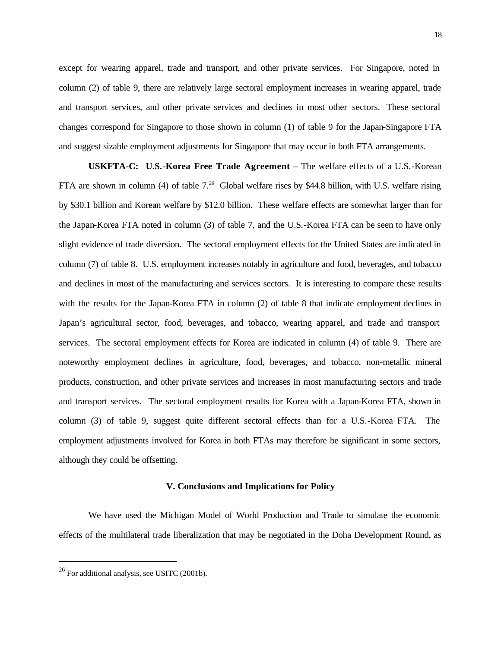except for wearing apparel, trade and transport, and other private services. For Singapore, noted in column (2) of table 9, there are relatively large sectoral employment increases in wearing apparel, trade and transport services, and other private services and declines in most other sectors. These sectoral changes correspond for Singapore to those shown in column (1) of table 9 for the Japan-Singapore FTA and suggest sizable employment adjustments for Singapore that may occur in both FTA arrangements.

**USKFTA-C: U.S.-Korea Free Trade Agreement** – The welfare effects of a U.S.-Korean FTA are shown in column (4) of table  $7.^{26}$  Global welfare rises by \$44.8 billion, with U.S. welfare rising by \$30.1 billion and Korean welfare by \$12.0 billion. These welfare effects are somewhat larger than for the Japan-Korea FTA noted in column (3) of table 7, and the U.S.-Korea FTA can be seen to have only slight evidence of trade diversion. The sectoral employment effects for the United States are indicated in column (7) of table 8. U.S. employment increases notably in agriculture and food, beverages, and tobacco and declines in most of the manufacturing and services sectors. It is interesting to compare these results with the results for the Japan-Korea FTA in column (2) of table 8 that indicate employment declines in Japan's agricultural sector, food, beverages, and tobacco, wearing apparel, and trade and transport services. The sectoral employment effects for Korea are indicated in column (4) of table 9. There are noteworthy employment declines in agriculture, food, beverages, and tobacco, non-metallic mineral products, construction, and other private services and increases in most manufacturing sectors and trade and transport services. The sectoral employment results for Korea with a Japan-Korea FTA, shown in column (3) of table 9, suggest quite different sectoral effects than for a U.S.-Korea FTA. The employment adjustments involved for Korea in both FTAs may therefore be significant in some sectors, although they could be offsetting.

#### **V. Conclusions and Implications for Policy**

We have used the Michigan Model of World Production and Trade to simulate the economic effects of the multilateral trade liberalization that may be negotiated in the Doha Development Round, as

<sup>26</sup> For additional analysis, see USITC (2001b).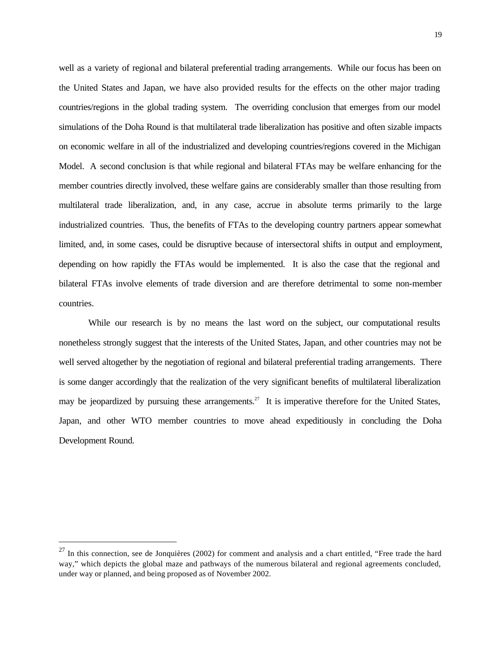well as a variety of regional and bilateral preferential trading arrangements. While our focus has been on the United States and Japan, we have also provided results for the effects on the other major trading countries/regions in the global trading system. The overriding conclusion that emerges from our model simulations of the Doha Round is that multilateral trade liberalization has positive and often sizable impacts on economic welfare in all of the industrialized and developing countries/regions covered in the Michigan Model. A second conclusion is that while regional and bilateral FTAs may be welfare enhancing for the member countries directly involved, these welfare gains are considerably smaller than those resulting from multilateral trade liberalization, and, in any case, accrue in absolute terms primarily to the large industrialized countries. Thus, the benefits of FTAs to the developing country partners appear somewhat limited, and, in some cases, could be disruptive because of intersectoral shifts in output and employment, depending on how rapidly the FTAs would be implemented. It is also the case that the regional and bilateral FTAs involve elements of trade diversion and are therefore detrimental to some non-member countries.

While our research is by no means the last word on the subject, our computational results nonetheless strongly suggest that the interests of the United States, Japan, and other countries may not be well served altogether by the negotiation of regional and bilateral preferential trading arrangements. There is some danger accordingly that the realization of the very significant benefits of multilateral liberalization may be jeopardized by pursuing these arrangements.<sup>27</sup> It is imperative therefore for the United States, Japan, and other WTO member countries to move ahead expeditiously in concluding the Doha Development Round.

 $27$  In this connection, see de Jonquières (2002) for comment and analysis and a chart entitled, "Free trade the hard way," which depicts the global maze and pathways of the numerous bilateral and regional agreements concluded, under way or planned, and being proposed as of November 2002.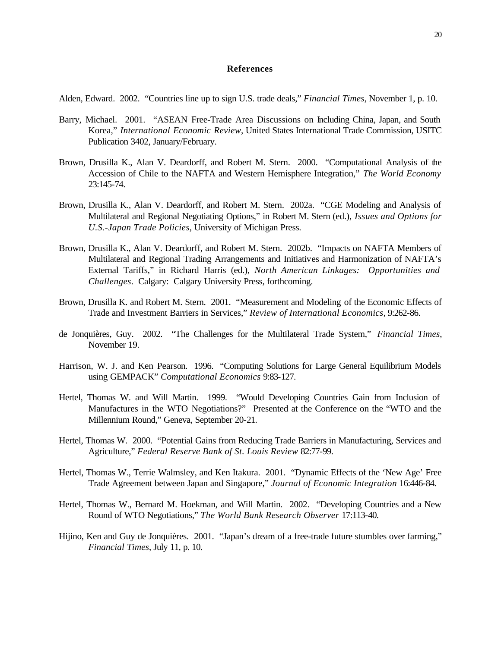#### **References**

Alden, Edward. 2002. "Countries line up to sign U.S. trade deals," *Financial Times*, November 1, p. 10.

- Barry, Michael. 2001. "ASEAN Free-Trade Area Discussions on Including China, Japan, and South Korea," *International Economic Review*, United States International Trade Commission, USITC Publication 3402, January/February.
- Brown, Drusilla K., Alan V. Deardorff, and Robert M. Stern. 2000. "Computational Analysis of the Accession of Chile to the NAFTA and Western Hemisphere Integration," *The World Economy* 23:145-74.
- Brown, Drusilla K., Alan V. Deardorff, and Robert M. Stern. 2002a. "CGE Modeling and Analysis of Multilateral and Regional Negotiating Options," in Robert M. Stern (ed.), *Issues and Options for U.S.-Japan Trade Policies*, University of Michigan Press.
- Brown, Drusilla K., Alan V. Deardorff, and Robert M. Stern. 2002b. "Impacts on NAFTA Members of Multilateral and Regional Trading Arrangements and Initiatives and Harmonization of NAFTA's External Tariffs," in Richard Harris (ed.), *North American Linkages: Opportunities and Challenges*. Calgary: Calgary University Press, forthcoming.
- Brown, Drusilla K. and Robert M. Stern. 2001. "Measurement and Modeling of the Economic Effects of Trade and Investment Barriers in Services," *Review of International Economics*, 9:262-86.
- de Jonquières, Guy. 2002. "The Challenges for the Multilateral Trade System," *Financial Times*, November 19.
- Harrison, W. J. and Ken Pearson. 1996. "Computing Solutions for Large General Equilibrium Models using GEMPACK" *Computational Economics* 9:83-127.
- Hertel, Thomas W. and Will Martin. 1999. "Would Developing Countries Gain from Inclusion of Manufactures in the WTO Negotiations?" Presented at the Conference on the "WTO and the Millennium Round," Geneva, September 20-21.
- Hertel, Thomas W. 2000. "Potential Gains from Reducing Trade Barriers in Manufacturing, Services and Agriculture," *Federal Reserve Bank of St. Louis Review* 82:77-99.
- Hertel, Thomas W., Terrie Walmsley, and Ken Itakura. 2001. "Dynamic Effects of the 'New Age' Free Trade Agreement between Japan and Singapore," *Journal of Economic Integration* 16:446-84.
- Hertel, Thomas W., Bernard M. Hoekman, and Will Martin. 2002. "Developing Countries and a New Round of WTO Negotiations," *The World Bank Research Observer* 17:113-40.
- Hijino, Ken and Guy de Jonquières. 2001. "Japan's dream of a free-trade future stumbles over farming," *Financial Times*, July 11, p. 10.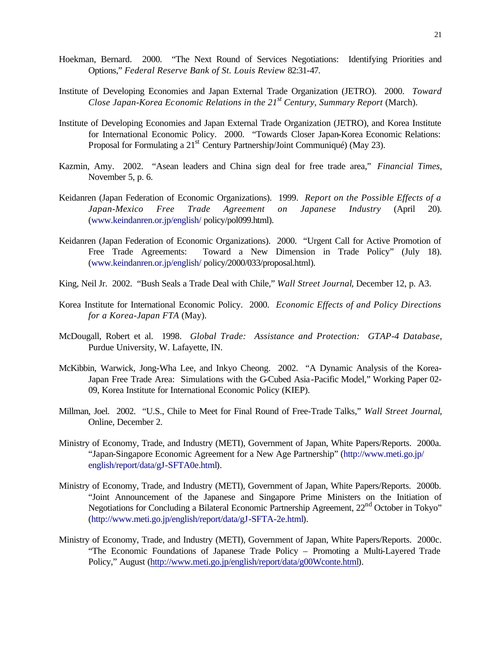- Hoekman, Bernard. 2000. "The Next Round of Services Negotiations: Identifying Priorities and Options," *Federal Reserve Bank of St. Louis Review* 82:31-47.
- Institute of Developing Economies and Japan External Trade Organization (JETRO). 2000. *Toward Close Japan-Korea Economic Relations in the 21st Century, Summary Report* (March).
- Institute of Developing Economies and Japan External Trade Organization (JETRO), and Korea Institute for International Economic Policy. 2000. "Towards Closer Japan-Korea Economic Relations: Proposal for Formulating a  $21<sup>st</sup>$  Century Partnership/Joint Communiqué) (May 23).
- Kazmin, Amy. 2002. "Asean leaders and China sign deal for free trade area," *Financial Times*, November 5, p. 6.
- Keidanren (Japan Federation of Economic Organizations). 1999. *Report on the Possible Effects of a Japan-Mexico Free Trade Agreement on Japanese Industry* (April 20). (www.keindanren.or.jp/english/ policy/pol099.html).
- Keidanren (Japan Federation of Economic Organizations). 2000. "Urgent Call for Active Promotion of Free Trade Agreements: Toward a New Dimension in Trade Policy" (July 18). (www.keindanren.or.jp/english/ policy/2000/033/proposal.html).
- King, Neil Jr. 2002. "Bush Seals a Trade Deal with Chile," *Wall Street Journal*, December 12, p. A3.
- Korea Institute for International Economic Policy. 2000. *Economic Effects of and Policy Directions for a Korea-Japan FTA* (May).
- McDougall, Robert et al. 1998. *Global Trade: Assistance and Protection: GTAP-4 Database*, Purdue University, W. Lafayette, IN.
- McKibbin, Warwick, Jong-Wha Lee, and Inkyo Cheong. 2002. "A Dynamic Analysis of the Korea-Japan Free Trade Area: Simulations with the G-Cubed Asia-Pacific Model," Working Paper 02- 09, Korea Institute for International Economic Policy (KIEP).
- Millman, Joel. 2002. "U.S., Chile to Meet for Final Round of Free-Trade Talks," *Wall Street Journal*, Online, December 2.
- Ministry of Economy, Trade, and Industry (METI), Government of Japan, White Papers/Reports. 2000a. "Japan-Singapore Economic Agreement for a New Age Partnership" (http://www.meti.go.jp/ english/report/data/gJ-SFTA0e.html).
- Ministry of Economy, Trade, and Industry (METI), Government of Japan, White Papers/Reports. 2000b. "Joint Announcement of the Japanese and Singapore Prime Ministers on the Initiation of Negotiations for Concluding a Bilateral Economic Partnership Agreement, 22<sup>nd</sup> October in Tokyo" (http://www.meti.go.jp/english/report/data/gJ-SFTA-2e.html).
- Ministry of Economy, Trade, and Industry (METI), Government of Japan, White Papers/Reports. 2000c. "The Economic Foundations of Japanese Trade Policy – Promoting a Multi-Layered Trade Policy," August (http://www.meti.go.jp/english/report/data/g00Wconte.html).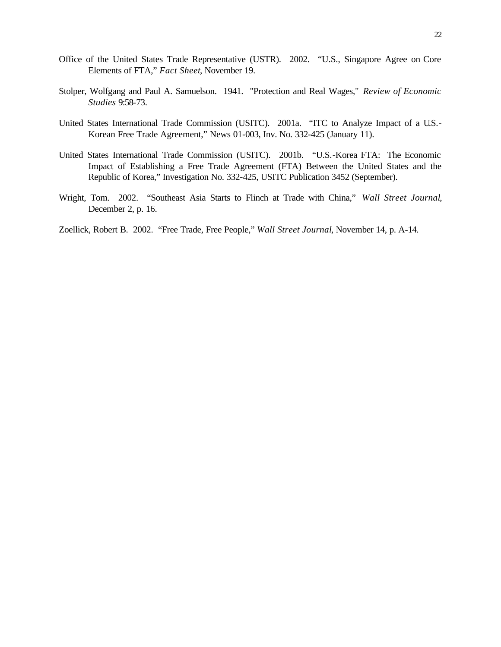- Office of the United States Trade Representative (USTR). 2002. "U.S., Singapore Agree on Core Elements of FTA," *Fact Sheet*, November 19.
- Stolper, Wolfgang and Paul A. Samuelson. 1941. "Protection and Real Wages," *Review of Economic Studies* 9:58-73.
- United States International Trade Commission (USITC). 2001a. "ITC to Analyze Impact of a U.S.- Korean Free Trade Agreement," News 01-003, Inv. No. 332-425 (January 11).
- United States International Trade Commission (USITC). 2001b. "U.S.-Korea FTA: The Economic Impact of Establishing a Free Trade Agreement (FTA) Between the United States and the Republic of Korea," Investigation No. 332-425, USITC Publication 3452 (September).
- Wright, Tom. 2002. "Southeast Asia Starts to Flinch at Trade with China," *Wall Street Journal*, December 2, p. 16.
- Zoellick, Robert B. 2002. "Free Trade, Free People," *Wall Street Journal*, November 14, p. A-14.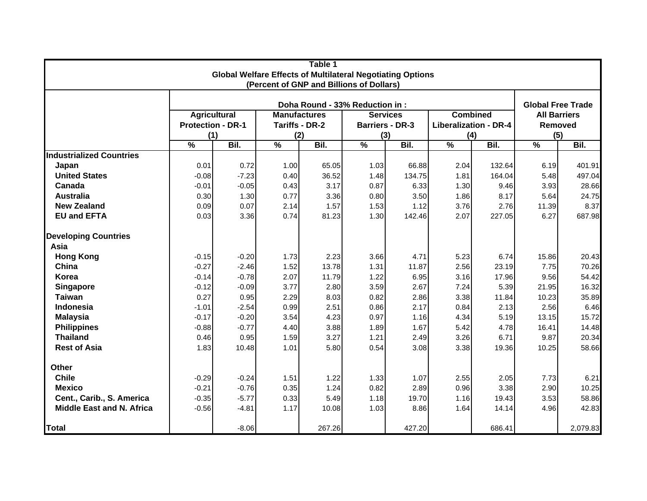| Table 1<br><b>Global Welfare Effects of Multilateral Negotiating Options</b> |                              |         |                       |                                          |               |                        |                                     |        |                                |          |  |  |
|------------------------------------------------------------------------------|------------------------------|---------|-----------------------|------------------------------------------|---------------|------------------------|-------------------------------------|--------|--------------------------------|----------|--|--|
|                                                                              |                              |         |                       | (Percent of GNP and Billions of Dollars) |               |                        |                                     |        |                                |          |  |  |
|                                                                              |                              |         |                       |                                          |               |                        |                                     |        |                                |          |  |  |
|                                                                              |                              |         |                       | Doha Round - 33% Reduction in :          |               |                        |                                     |        | <b>Global Free Trade</b>       |          |  |  |
|                                                                              | <b>Agricultural</b>          |         | <b>Manufactures</b>   |                                          |               | <b>Services</b>        | <b>Combined</b>                     |        | <b>All Barriers</b><br>Removed |          |  |  |
|                                                                              | <b>Protection - DR-1</b>     |         | Tariffs - DR-2<br>(2) |                                          | (3)           | <b>Barriers - DR-3</b> | <b>Liberalization - DR-4</b><br>(4) |        | (5)                            |          |  |  |
|                                                                              | (1)<br>Bil.<br>$\frac{9}{6}$ |         | $\frac{9}{6}$         | Bil.                                     | $\frac{9}{6}$ | Bil.                   | $\frac{9}{6}$                       | Bil.   | $\overline{\frac{9}{6}}$       | Bil.     |  |  |
| <b>Industrialized Countries</b>                                              |                              |         |                       |                                          |               |                        |                                     |        |                                |          |  |  |
| Japan                                                                        | 0.01                         | 0.72    | 1.00                  | 65.05                                    | 1.03          | 66.88                  | 2.04                                | 132.64 | 6.19                           | 401.91   |  |  |
| <b>United States</b>                                                         | $-0.08$                      | $-7.23$ | 0.40                  | 36.52                                    | 1.48          | 134.75                 | 1.81                                | 164.04 | 5.48                           | 497.04   |  |  |
| Canada                                                                       | $-0.01$                      | $-0.05$ | 0.43                  | 3.17                                     | 0.87          | 6.33                   | 1.30                                | 9.46   | 3.93                           | 28.66    |  |  |
| <b>Australia</b>                                                             | 0.30                         | 1.30    | 0.77                  | 3.36                                     | 0.80          | 3.50                   | 1.86                                | 8.17   | 5.64                           | 24.75    |  |  |
| <b>New Zealand</b>                                                           | 0.09                         | 0.07    | 2.14                  | 1.57                                     | 1.53          | 1.12                   | 3.76                                | 2.76   | 11.39                          | 8.37     |  |  |
| <b>EU and EFTA</b>                                                           | 0.03                         | 3.36    | 0.74                  | 81.23                                    | 1.30          | 142.46                 | 2.07                                | 227.05 | 6.27                           | 687.98   |  |  |
| <b>Developing Countries</b>                                                  |                              |         |                       |                                          |               |                        |                                     |        |                                |          |  |  |
| Asia                                                                         |                              |         |                       |                                          |               |                        |                                     |        |                                |          |  |  |
| <b>Hong Kong</b>                                                             | $-0.15$                      | $-0.20$ | 1.73                  | 2.23                                     | 3.66          | 4.71                   | 5.23                                | 6.74   | 15.86                          | 20.43    |  |  |
| China                                                                        | $-0.27$                      | $-2.46$ | 1.52                  | 13.78                                    | 1.31          | 11.87                  | 2.56                                | 23.19  | 7.75                           | 70.26    |  |  |
| Korea                                                                        | $-0.14$                      | $-0.78$ | 2.07                  | 11.79                                    | 1.22          | 6.95                   | 3.16                                | 17.96  | 9.56                           | 54.42    |  |  |
| Singapore                                                                    | $-0.12$                      | $-0.09$ | 3.77                  | 2.80                                     | 3.59          | 2.67                   | 7.24                                | 5.39   | 21.95                          | 16.32    |  |  |
| <b>Taiwan</b>                                                                | 0.27                         | 0.95    | 2.29                  | 8.03                                     | 0.82          | 2.86                   | 3.38                                | 11.84  | 10.23                          | 35.89    |  |  |
| Indonesia                                                                    | $-1.01$                      | $-2.54$ | 0.99                  | 2.51                                     | 0.86          | 2.17                   | 0.84                                | 2.13   | 2.56                           | 6.46     |  |  |
| <b>Malaysia</b>                                                              | $-0.17$                      | $-0.20$ | 3.54                  | 4.23                                     | 0.97          | 1.16                   | 4.34                                | 5.19   | 13.15                          | 15.72    |  |  |
| <b>Philippines</b>                                                           | $-0.88$                      | $-0.77$ | 4.40                  | 3.88                                     | 1.89          | 1.67                   | 5.42                                | 4.78   | 16.41                          | 14.48    |  |  |
| <b>Thailand</b>                                                              | 0.46                         | 0.95    | 1.59                  | 3.27                                     | 1.21          | 2.49                   | 3.26                                | 6.71   | 9.87                           | 20.34    |  |  |
| <b>Rest of Asia</b>                                                          | 1.83                         | 10.48   | 1.01                  | 5.80                                     | 0.54          | 3.08                   | 3.38                                | 19.36  | 10.25                          | 58.66    |  |  |
| <b>Other</b>                                                                 |                              |         |                       |                                          |               |                        |                                     |        |                                |          |  |  |
| <b>Chile</b>                                                                 | $-0.29$                      | $-0.24$ | 1.51                  | 1.22                                     | 1.33          | 1.07                   | 2.55                                | 2.05   | 7.73                           | 6.21     |  |  |
| <b>Mexico</b>                                                                | $-0.21$                      | $-0.76$ | 0.35                  | 1.24                                     | 0.82          | 2.89                   | 0.96                                | 3.38   | 2.90                           | 10.25    |  |  |
| Cent., Carib., S. America                                                    | $-0.35$                      | $-5.77$ | 0.33                  | 5.49                                     | 1.18          | 19.70                  | 1.16                                | 19.43  | 3.53                           | 58.86    |  |  |
| <b>Middle East and N. Africa</b>                                             | $-0.56$                      | $-4.81$ | 1.17                  | 10.08                                    | 1.03          | 8.86                   | 1.64                                | 14.14  | 4.96                           | 42.83    |  |  |
| <b>Total</b>                                                                 |                              | $-8.06$ |                       | 267.26                                   |               | 427.20                 |                                     | 686.41 |                                | 2,079.83 |  |  |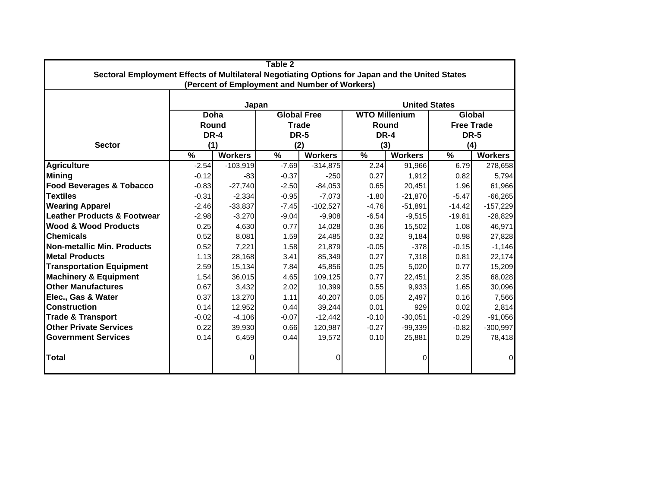| Table 2                                                                                         |              |                                               |         |                    |                      |                |                             |                |  |  |  |  |
|-------------------------------------------------------------------------------------------------|--------------|-----------------------------------------------|---------|--------------------|----------------------|----------------|-----------------------------|----------------|--|--|--|--|
| Sectoral Employment Effects of Multilateral Negotiating Options for Japan and the United States |              |                                               |         |                    |                      |                |                             |                |  |  |  |  |
|                                                                                                 |              | (Percent of Employment and Number of Workers) |         |                    |                      |                |                             |                |  |  |  |  |
|                                                                                                 |              | Japan                                         |         |                    | <b>United States</b> |                |                             |                |  |  |  |  |
|                                                                                                 | Doha         |                                               |         | <b>Global Free</b> | <b>WTO Millenium</b> |                | Global<br><b>Free Trade</b> |                |  |  |  |  |
|                                                                                                 | <b>Round</b> |                                               |         | <b>Trade</b>       | Round                |                |                             |                |  |  |  |  |
|                                                                                                 | <b>DR-4</b>  |                                               |         | <b>DR-5</b>        | <b>DR-4</b>          |                |                             | <b>DR-5</b>    |  |  |  |  |
| <b>Sector</b>                                                                                   | (1)          |                                               | (2)     |                    | (3)                  |                |                             | (4)            |  |  |  |  |
|                                                                                                 | %            | <b>Workers</b>                                | %       | <b>Workers</b>     | %                    | <b>Workers</b> | %                           | <b>Workers</b> |  |  |  |  |
| <b>Agriculture</b>                                                                              | $-2.54$      | $-103,919$                                    | $-7.69$ | $-314,875$         | 2.24                 | 91,966         | 6.79                        | 278,658        |  |  |  |  |
| <b>Mining</b>                                                                                   | $-0.12$      | $-83$                                         | $-0.37$ | $-250$             | 0.27                 | 1,912          | 0.82                        | 5,794          |  |  |  |  |
| <b>Food Beverages &amp; Tobacco</b>                                                             | $-0.83$      | $-27,740$                                     | $-2.50$ | $-84,053$          | 0.65                 | 20,451         | 1.96                        | 61,966         |  |  |  |  |
| <b>Textiles</b>                                                                                 | $-0.31$      | $-2,334$                                      | $-0.95$ | $-7,073$           | $-1.80$              | $-21,870$      | $-5.47$                     | $-66,265$      |  |  |  |  |
| <b>Wearing Apparel</b>                                                                          | $-2.46$      | $-33,837$                                     | $-7.45$ | $-102,527$         | $-4.76$              | $-51,891$      | $-14.42$                    | $-157,229$     |  |  |  |  |
| <b>Leather Products &amp; Footwear</b>                                                          | $-2.98$      | $-3,270$                                      | $-9.04$ | $-9,908$           | $-6.54$              | $-9,515$       | $-19.81$                    | $-28,829$      |  |  |  |  |
| <b>Wood &amp; Wood Products</b>                                                                 | 0.25         | 4,630                                         | 0.77    | 14,028             | 0.36                 | 15,502         | 1.08                        | 46,971         |  |  |  |  |
| <b>Chemicals</b>                                                                                | 0.52         | 8,081                                         | 1.59    | 24,485             | 0.32                 | 9,184          | 0.98                        | 27,828         |  |  |  |  |
| Non-metallic Min. Products                                                                      | 0.52         | 7,221                                         | 1.58    | 21,879             | $-0.05$              | $-378$         | $-0.15$                     | $-1,146$       |  |  |  |  |
| <b>Metal Products</b>                                                                           | 1.13         | 28,168                                        | 3.41    | 85,349             | 0.27                 | 7,318          | 0.81                        | 22,174         |  |  |  |  |
| <b>Transportation Equipment</b>                                                                 | 2.59         | 15,134                                        | 7.84    | 45,856             | 0.25                 | 5,020          | 0.77                        | 15,209         |  |  |  |  |
| <b>Machinery &amp; Equipment</b>                                                                | 1.54         | 36,015                                        | 4.65    | 109,125            | 0.77                 | 22,451         | 2.35                        | 68,028         |  |  |  |  |
| <b>Other Manufactures</b>                                                                       | 0.67         | 3,432                                         | 2.02    | 10,399             | 0.55                 | 9,933          | 1.65                        | 30,096         |  |  |  |  |
| Elec., Gas & Water                                                                              | 0.37         | 13,270                                        | 1.11    | 40,207             | 0.05                 | 2,497          | 0.16                        | 7,566          |  |  |  |  |
| <b>Construction</b>                                                                             | 0.14         | 12,952                                        | 0.44    | 39,244             | 0.01                 | 929            | 0.02                        | 2,814          |  |  |  |  |
| <b>Trade &amp; Transport</b>                                                                    | $-0.02$      | $-4,106$                                      | $-0.07$ | $-12,442$          | $-0.10$              | $-30,051$      | $-0.29$                     | $-91,056$      |  |  |  |  |
| <b>Other Private Services</b>                                                                   | 0.22         | 39,930                                        | 0.66    | 120,987            | $-0.27$              | $-99,339$      | $-0.82$                     | $-300,997$     |  |  |  |  |
| <b>Government Services</b>                                                                      | 0.14         | 6,459                                         | 0.44    | 19,572             | 0.10                 | 25,881         | 0.29                        | 78,418         |  |  |  |  |
| <b>Total</b>                                                                                    |              | 0                                             |         | 0                  |                      | 0              |                             | $\overline{0}$ |  |  |  |  |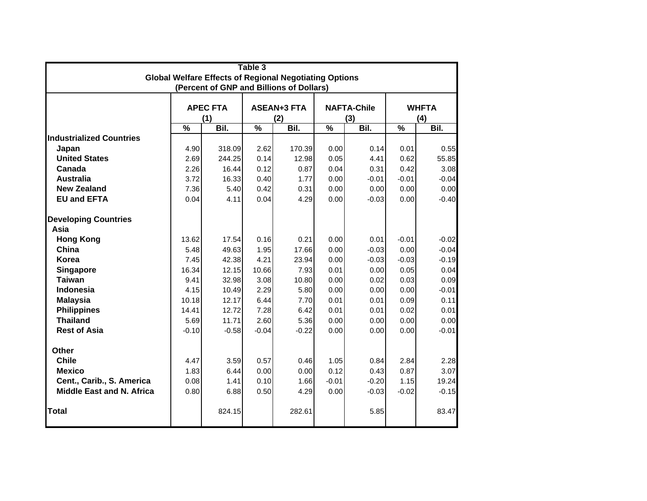| Table 3<br><b>Global Welfare Effects of Regional Negotiating Options</b> |               |                 |                          |                                          |                          |                    |                          |              |  |  |  |  |
|--------------------------------------------------------------------------|---------------|-----------------|--------------------------|------------------------------------------|--------------------------|--------------------|--------------------------|--------------|--|--|--|--|
|                                                                          |               |                 |                          |                                          |                          |                    |                          |              |  |  |  |  |
|                                                                          |               |                 |                          | (Percent of GNP and Billions of Dollars) |                          |                    |                          |              |  |  |  |  |
|                                                                          |               | <b>APEC FTA</b> |                          | <b>ASEAN+3 FTA</b>                       |                          | <b>NAFTA-Chile</b> |                          | <b>WHFTA</b> |  |  |  |  |
|                                                                          |               | (1)             |                          | (2)                                      |                          | (3)                | (4)                      |              |  |  |  |  |
|                                                                          | $\frac{0}{0}$ | Bil.            | $\overline{\frac{9}{6}}$ | Bil.                                     | $\overline{\frac{9}{6}}$ | Bil.               | $\overline{\frac{9}{6}}$ | Bil.         |  |  |  |  |
| <b>Industrialized Countries</b>                                          |               |                 |                          |                                          |                          |                    |                          |              |  |  |  |  |
| Japan                                                                    | 4.90          | 318.09          | 2.62                     | 170.39                                   | 0.00                     | 0.14               | 0.01                     | 0.55         |  |  |  |  |
| <b>United States</b>                                                     | 2.69          | 244.25          | 0.14                     | 12.98                                    | 0.05                     | 4.41               | 0.62                     | 55.85        |  |  |  |  |
| Canada                                                                   | 2.26          | 16.44           | 0.12                     | 0.87                                     | 0.04                     | 0.31               | 0.42                     | 3.08         |  |  |  |  |
| <b>Australia</b>                                                         | 3.72          | 16.33           | 0.40                     | 1.77                                     | 0.00                     | $-0.01$            | $-0.01$                  | $-0.04$      |  |  |  |  |
| <b>New Zealand</b>                                                       | 7.36          | 5.40            | 0.42                     | 0.31                                     | 0.00                     | 0.00               | 0.00                     | 0.00         |  |  |  |  |
| <b>EU and EFTA</b>                                                       | 0.04          | 4.11            | 0.04                     | 4.29                                     | 0.00                     | $-0.03$            | 0.00                     | $-0.40$      |  |  |  |  |
| <b>Developing Countries</b>                                              |               |                 |                          |                                          |                          |                    |                          |              |  |  |  |  |
| Asia                                                                     |               |                 |                          |                                          |                          |                    |                          |              |  |  |  |  |
| <b>Hong Kong</b>                                                         | 13.62         | 17.54           | 0.16                     | 0.21                                     | 0.00                     | 0.01               | $-0.01$                  | $-0.02$      |  |  |  |  |
| China                                                                    | 5.48          | 49.63           | 1.95                     | 17.66                                    | 0.00                     | $-0.03$            | 0.00                     | $-0.04$      |  |  |  |  |
| Korea                                                                    | 7.45          | 42.38           | 4.21                     | 23.94                                    | 0.00                     | $-0.03$            | $-0.03$                  | $-0.19$      |  |  |  |  |
| Singapore                                                                | 16.34         | 12.15           | 10.66                    | 7.93                                     | 0.01                     | 0.00               | 0.05                     | 0.04         |  |  |  |  |
| <b>Taiwan</b>                                                            | 9.41          | 32.98           | 3.08                     | 10.80                                    | 0.00                     | 0.02               | 0.03                     | 0.09         |  |  |  |  |
| Indonesia                                                                | 4.15          | 10.49           | 2.29                     | 5.80                                     | 0.00                     | 0.00               | 0.00                     | $-0.01$      |  |  |  |  |
| <b>Malaysia</b>                                                          | 10.18         | 12.17           | 6.44                     | 7.70                                     | 0.01                     | 0.01               | 0.09                     | 0.11         |  |  |  |  |
| <b>Philippines</b>                                                       | 14.41         | 12.72           | 7.28                     | 6.42                                     | 0.01                     | 0.01               | 0.02                     | 0.01         |  |  |  |  |
| <b>Thailand</b>                                                          | 5.69          | 11.71           | 2.60                     | 5.36                                     | 0.00                     | 0.00               | 0.00                     | 0.00         |  |  |  |  |
| <b>Rest of Asia</b>                                                      | $-0.10$       | $-0.58$         | $-0.04$                  | $-0.22$                                  | 0.00                     | 0.00               | 0.00                     | $-0.01$      |  |  |  |  |
| <b>Other</b>                                                             |               |                 |                          |                                          |                          |                    |                          |              |  |  |  |  |
| <b>Chile</b>                                                             | 4.47          | 3.59            | 0.57                     | 0.46                                     | 1.05                     | 0.84               | 2.84                     | 2.28         |  |  |  |  |
| <b>Mexico</b>                                                            | 1.83          | 6.44            | 0.00                     | 0.00                                     | 0.12                     | 0.43               | 0.87                     | 3.07         |  |  |  |  |
| Cent., Carib., S. America                                                | 0.08          | 1.41            | 0.10                     | 1.66                                     | $-0.01$                  | $-0.20$            | 1.15                     | 19.24        |  |  |  |  |
| <b>Middle East and N. Africa</b>                                         | 0.80          | 6.88            | 0.50                     | 4.29                                     | 0.00                     | $-0.03$            | $-0.02$                  | $-0.15$      |  |  |  |  |
| <b>Total</b>                                                             |               | 824.15          |                          | 282.61                                   |                          | 5.85               |                          | 83.47        |  |  |  |  |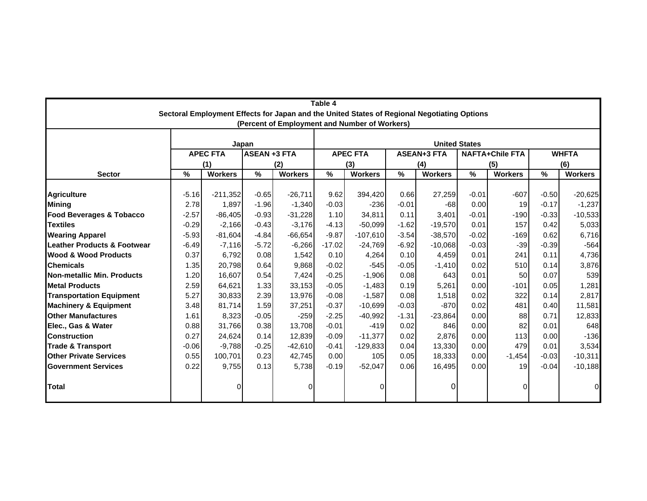| Table 4                                |         |                 |                     |                                                                                             |          |                      |         |                    |         |                        |               |                |  |  |  |
|----------------------------------------|---------|-----------------|---------------------|---------------------------------------------------------------------------------------------|----------|----------------------|---------|--------------------|---------|------------------------|---------------|----------------|--|--|--|
|                                        |         |                 |                     | Sectoral Employment Effects for Japan and the United States of Regional Negotiating Options |          |                      |         |                    |         |                        |               |                |  |  |  |
|                                        |         |                 |                     | (Percent of Employment and Number of Workers)                                               |          |                      |         |                    |         |                        |               |                |  |  |  |
|                                        |         |                 | Japan               |                                                                                             |          | <b>United States</b> |         |                    |         |                        |               |                |  |  |  |
|                                        |         | <b>APEC FTA</b> | <b>ASEAN +3 FTA</b> |                                                                                             |          | <b>APEC FTA</b>      |         | <b>ASEAN+3 FTA</b> |         | <b>NAFTA+Chile FTA</b> |               | <b>WHFTA</b>   |  |  |  |
|                                        |         | (1)             |                     | (2)                                                                                         |          | (3)                  |         | (4)                |         | (5)                    | (6)           |                |  |  |  |
| <b>Sector</b>                          | $\%$    | <b>Workers</b>  | %                   | <b>Workers</b>                                                                              | %        | <b>Workers</b>       | $\%$    | <b>Workers</b>     | %       | <b>Workers</b>         | $\frac{9}{6}$ | <b>Workers</b> |  |  |  |
|                                        |         |                 |                     |                                                                                             |          |                      |         |                    |         |                        |               |                |  |  |  |
| <b>Agriculture</b>                     | $-5.16$ | $-211,352$      | $-0.65$             | $-26,711$                                                                                   | 9.62     | 394,420              | 0.66    | 27,259             | $-0.01$ | $-607$                 | $-0.50$       | $-20,625$      |  |  |  |
| <b>Mining</b>                          | 2.78    | 1,897           | $-1.96$             | $-1,340$                                                                                    | $-0.03$  | $-236$               | $-0.01$ | $-68$              | 0.00    | 19                     | $-0.17$       | $-1,237$       |  |  |  |
| <b>Food Beverages &amp; Tobacco</b>    | $-2.57$ | $-86,405$       | $-0.93$             | $-31,228$                                                                                   | 1.10     | 34,811               | 0.11    | 3,401              | $-0.01$ | $-190$                 | $-0.33$       | $-10,533$      |  |  |  |
| <b>Textiles</b>                        | $-0.29$ | $-2,166$        | $-0.43$             | $-3,176$                                                                                    | $-4.13$  | $-50,099$            | $-1.62$ | $-19,570$          | 0.01    | 157                    | 0.42          | 5,033          |  |  |  |
| <b>Wearing Apparel</b>                 | $-5.93$ | $-81,604$       | $-4.84$             | $-66,654$                                                                                   | $-9.87$  | $-107,610$           | $-3.54$ | $-38,570$          | $-0.02$ | $-169$                 | 0.62          | 6,716          |  |  |  |
| <b>Leather Products &amp; Footwear</b> | $-6.49$ | $-7,116$        | $-5.72$             | $-6,266$                                                                                    | $-17.02$ | $-24,769$            | $-6.92$ | $-10,068$          | $-0.03$ | $-39$                  | $-0.39$       | $-564$         |  |  |  |
| <b>Wood &amp; Wood Products</b>        | 0.37    | 6.792           | 0.08                | 1,542                                                                                       | 0.10     | 4,264                | 0.10    | 4,459              | 0.01    | 241                    | 0.11          | 4,736          |  |  |  |
| <b>Chemicals</b>                       | 1.35    | 20,798          | 0.64                | 9,868                                                                                       | $-0.02$  | $-545$               | $-0.05$ | $-1,410$           | 0.02    | 510                    | 0.14          | 3,876          |  |  |  |
| Non-metallic Min. Products             | 1.20    | 16,607          | 0.54                | 7,424                                                                                       | $-0.25$  | $-1,906$             | 0.08    | 643                | 0.01    | 50                     | 0.07          | 539            |  |  |  |
| <b>Metal Products</b>                  | 2.59    | 64,621          | 1.33                | 33,153                                                                                      | $-0.05$  | $-1,483$             | 0.19    | 5,261              | 0.00    | $-101$                 | 0.05          | 1,281          |  |  |  |
| <b>Transportation Equipment</b>        | 5.27    | 30,833          | 2.39                | 13,976                                                                                      | $-0.08$  | $-1,587$             | 0.08    | 1,518              | 0.02    | 322                    | 0.14          | 2,817          |  |  |  |
| <b>Machinery &amp; Equipment</b>       | 3.48    | 81,714          | 1.59                | 37,251                                                                                      | $-0.37$  | $-10,699$            | $-0.03$ | $-870$             | 0.02    | 481                    | 0.40          | 11,581         |  |  |  |
| <b>Other Manufactures</b>              | 1.61    | 8,323           | $-0.05$             | $-259$                                                                                      | $-2.25$  | $-40,992$            | $-1.31$ | $-23,864$          | 0.00    | 88                     | 0.71          | 12,833         |  |  |  |
| Elec., Gas & Water                     | 0.88    | 31,766          | 0.38                | 13,708                                                                                      | $-0.01$  | $-419$               | 0.02    | 846                | 0.00    | 82                     | 0.01          | 648            |  |  |  |
| <b>Construction</b>                    | 0.27    | 24,624          | 0.14                | 12,839                                                                                      | $-0.09$  | $-11,377$            | 0.02    | 2,876              | 0.00    | 113                    | 0.00          | $-136$         |  |  |  |
| <b>Trade &amp; Transport</b>           | $-0.06$ | $-9,788$        | $-0.25$             | $-42,610$                                                                                   | $-0.41$  | $-129,833$           | 0.04    | 13,330             | 0.00    | 479                    | 0.01          | 3,534          |  |  |  |
| <b>Other Private Services</b>          | 0.55    | 100,701         | 0.23                | 42,745                                                                                      | 0.00     | 105                  | 0.05    | 18,333             | 0.00    | $-1,454$               | $-0.03$       | $-10,311$      |  |  |  |
| <b>Government Services</b>             | 0.22    | 9,755           | 0.13                | 5,738                                                                                       | $-0.19$  | $-52,047$            | 0.06    | 16.495             | 0.00    | 19                     | $-0.04$       | $-10,188$      |  |  |  |
| Total                                  |         | 0               |                     | $\Omega$                                                                                    |          |                      |         | O                  |         | 0                      |               | 0              |  |  |  |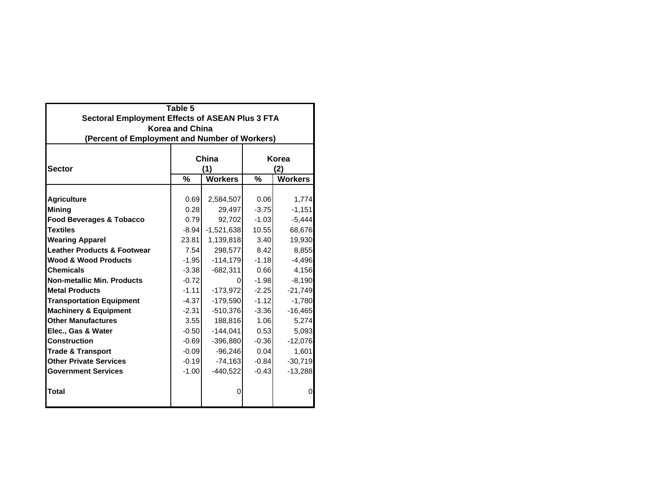| Table 5                                                |                        |                |         |                |  |  |  |  |  |  |  |
|--------------------------------------------------------|------------------------|----------------|---------|----------------|--|--|--|--|--|--|--|
| <b>Sectoral Employment Effects of ASEAN Plus 3 FTA</b> |                        |                |         |                |  |  |  |  |  |  |  |
|                                                        | <b>Korea and China</b> |                |         |                |  |  |  |  |  |  |  |
| (Percent of Employment and Number of Workers)          |                        |                |         |                |  |  |  |  |  |  |  |
|                                                        |                        |                |         |                |  |  |  |  |  |  |  |
|                                                        |                        | China          | Korea   |                |  |  |  |  |  |  |  |
| <b>Sector</b>                                          |                        | (1)            |         | (2)            |  |  |  |  |  |  |  |
|                                                        | %                      | <b>Workers</b> | %       | <b>Workers</b> |  |  |  |  |  |  |  |
|                                                        |                        |                |         |                |  |  |  |  |  |  |  |
| <b>Agriculture</b>                                     | 0.69                   | 2,584,507      | 0.06    | 1,774          |  |  |  |  |  |  |  |
| <b>Mining</b>                                          | 0.28                   | 29,497         | $-3.75$ | $-1,151$       |  |  |  |  |  |  |  |
| <b>Food Beverages &amp; Tobacco</b>                    | 0.79                   | 92,702         | $-1.03$ | $-5,444$       |  |  |  |  |  |  |  |
| <b>Textiles</b>                                        | $-8.94$                | $-1,521,638$   | 10.55   | 68,676         |  |  |  |  |  |  |  |
| <b>Wearing Apparel</b>                                 | 23.81                  | 1,139,818      | 3.40    | 19,930         |  |  |  |  |  |  |  |
| <b>Leather Products &amp; Footwear</b>                 | 7.54                   | 298,577        | 8.42    | 8,855          |  |  |  |  |  |  |  |
| <b>Wood &amp; Wood Products</b>                        | $-1.95$                | $-114,179$     | $-1.18$ | $-4,496$       |  |  |  |  |  |  |  |
| <b>Chemicals</b>                                       | $-3.38$                | $-682,311$     | 0.66    | 4,156          |  |  |  |  |  |  |  |
| <b>Non-metallic Min. Products</b>                      | $-0.72$                | 0              | $-1.98$ | $-8,190$       |  |  |  |  |  |  |  |
| <b>Metal Products</b>                                  | $-1.11$                | $-173,972$     | $-2.25$ | $-21,749$      |  |  |  |  |  |  |  |
| <b>Transportation Equipment</b>                        | $-4.37$                | $-179,590$     | $-1.12$ | $-1,780$       |  |  |  |  |  |  |  |
| <b>Machinery &amp; Equipment</b>                       | $-2.31$                | $-510,376$     | $-3.36$ | $-16,465$      |  |  |  |  |  |  |  |
| <b>Other Manufactures</b>                              | 3.55                   | 188,816        | 1.06    | 5,274          |  |  |  |  |  |  |  |
| Elec., Gas & Water                                     | $-0.50$                | $-144,041$     | 0.53    | 5,093          |  |  |  |  |  |  |  |
| <b>Construction</b>                                    | $-0.69$                | $-396,880$     | $-0.36$ | $-12,076$      |  |  |  |  |  |  |  |
| <b>Trade &amp; Transport</b>                           | $-0.09$                | $-96,246$      | 0.04    | 1,601          |  |  |  |  |  |  |  |
| <b>Other Private Services</b>                          | $-0.19$                | $-74,163$      | $-0.84$ | $-30,719$      |  |  |  |  |  |  |  |
| <b>Government Services</b>                             | $-1.00$                | $-440,522$     | $-0.43$ | $-13,288$      |  |  |  |  |  |  |  |
|                                                        |                        |                |         |                |  |  |  |  |  |  |  |
| Total                                                  |                        | 0              |         | $\Omega$       |  |  |  |  |  |  |  |
|                                                        |                        |                |         |                |  |  |  |  |  |  |  |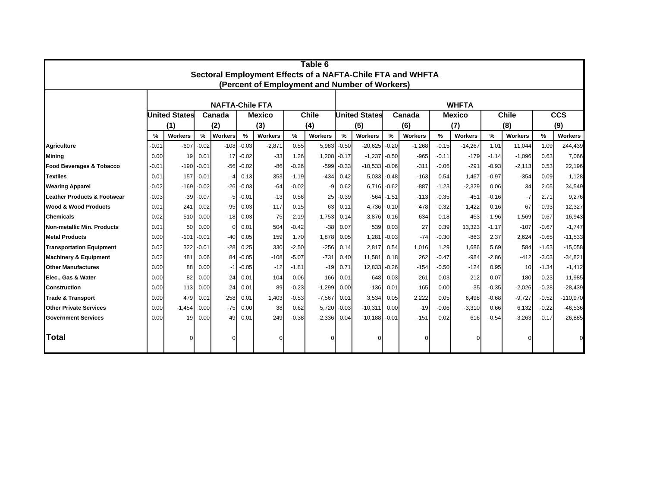| Table 6<br>Sectoral Employment Effects of a NAFTA-Chile FTA and WHFTA |         |                      |         |                        |             |                |         |              |               |                                               |               |                |         |                |              |          |         |                |
|-----------------------------------------------------------------------|---------|----------------------|---------|------------------------|-------------|----------------|---------|--------------|---------------|-----------------------------------------------|---------------|----------------|---------|----------------|--------------|----------|---------|----------------|
|                                                                       |         |                      |         |                        |             |                |         |              |               | (Percent of Employment and Number of Workers) |               |                |         |                |              |          |         |                |
|                                                                       |         |                      |         |                        |             |                |         |              |               |                                               |               |                |         |                |              |          |         |                |
|                                                                       |         |                      |         | <b>NAFTA-Chile FTA</b> |             |                |         |              | <b>WHFTA</b>  |                                               |               |                |         |                |              |          |         |                |
|                                                                       |         | <b>United States</b> | Canada  |                        |             | <b>Mexico</b>  |         | <b>Chile</b> |               | <b>United States</b>                          |               | Canada         |         | <b>Mexico</b>  | <b>Chile</b> |          |         | <b>CCS</b>     |
|                                                                       |         | (1)                  |         | (2)                    |             | (3)            |         | (4)          |               | (5)                                           |               | (6)            |         | (7)            |              | (8)      |         | (9)            |
|                                                                       | %       | <b>Workers</b>       | %       | <b>Workers</b>         | $\%$        | <b>Workers</b> | %       | Workers      | $\frac{9}{6}$ | <b>Workers</b>                                | %             | <b>Workers</b> | $\%$    | <b>Workers</b> | %            | Workers  | %       | <b>Workers</b> |
| <b>Agriculture</b>                                                    | $-0.01$ | $-607$               | $-0.02$ | $-108$                 | $-0.03$     | $-2,871$       | 0.55    | 5,983        | $-0.50$       | $-20,625$                                     | $-0.20$       | $-1,268$       | $-0.15$ | $-14,267$      | 1.01         | 11,044   | 1.09    | 244,439        |
| <b>Mining</b>                                                         | 0.00    | 19                   | 0.01    | 17                     | $-0.02$     | $-33$          | 1.26    | 1,208        | $-0.17$       | $-1,237$                                      | $-0.50$       | $-965$         | $-0.11$ | $-179$         | $-1.14$      | $-1,096$ | 0.63    | 7,066          |
| Food Beverages & Tobacco                                              | $-0.01$ | $-190$               | $-0.01$ | $-56$                  | $-0.02$     | $-86$          | $-0.26$ | $-599$       | $-0.33$       | $-10,533$                                     | $-0.06$       | $-311$         | $-0.06$ | $-291$         | $-0.93$      | $-2,113$ | 0.53    | 22,196         |
| <b>Textiles</b>                                                       | 0.01    | 157                  | $-0.01$ | -4                     | 0.13        | 353            | $-1.19$ | $-434$       | 0.42          | 5,033                                         | $-0.48$       | $-163$         | 0.54    | 1,467          | $-0.97$      | $-354$   | 0.09    | 1,128          |
| <b>Wearing Apparel</b>                                                | $-0.02$ | $-169$               | $-0.02$ | $-26$                  | $-0.03$     | $-64$          | $-0.02$ | -9           | 0.62          | 6.716                                         | $-0.62$       | $-887$         | $-1.23$ | $-2,329$       | 0.06         | 34       | 2.05    | 34,549         |
| <b>Leather Products &amp; Footwear</b>                                | $-0.03$ | $-39$                | $-0.07$ | -5                     | $-0.01$     | $-13$          | 0.56    | 25           | $-0.39$       |                                               | $-564 - 1.51$ | $-113$         | $-0.35$ | $-451$         | $-0.16$      | $-7$     | 2.71    | 9,276          |
| <b>Wood &amp; Wood Products</b>                                       | 0.01    | 241                  | $-0.02$ | $-95$                  | $-0.03$     | $-117$         | 0.15    | 63           | 0.11          | 4,736                                         | $-0.10$       | $-478$         | $-0.32$ | $-1,422$       | 0.16         | 67       | $-0.93$ | $-12,327$      |
| <b>Chemicals</b>                                                      | 0.02    | 510                  | 0.00    | $-18$                  | 0.03        | 75             | $-2.19$ | $-1,753$     | 0.14          | 3.876                                         | 0.16          | 634            | 0.18    | 453            | $-1.96$      | $-1,569$ | $-0.67$ | $-16,943$      |
| Non-metallic Min. Products                                            | 0.01    | 50                   | 0.00    | $\Omega$               | 0.01        | 504            | $-0.42$ | $-38$        | 0.07          | 539                                           | 0.03          | 27             | 0.39    | 13,323         | $-1.17$      | $-107$   | $-0.67$ | $-1,747$       |
| <b>Metal Products</b>                                                 | 0.00    | -101                 | $-0.01$ | $-40$                  | 0.05        | 159            | 1.70    | 1.878        | 0.05          | 1,281                                         | $-0.03$       | $-74$          | $-0.30$ | $-863$         | 2.37         | 2,624    | $-0.65$ | $-11,533$      |
| <b>Transportation Equipment</b>                                       | 0.02    | 322                  | $-0.01$ | $-28$                  | 0.25        | 330            | $-2.50$ | $-256$       | 0.14          | 2,817                                         | 0.54          | 1,016          | 1.29    | 1,686          | 5.69         | 584      | $-1.63$ | $-15,058$      |
| <b>Machinery &amp; Equipment</b>                                      | 0.02    | 481                  | 0.06    | 84                     | $-0.05$     | $-108$         | $-5.07$ | $-731$       | 0.40          | 11,581                                        | 0.18          | 262            | $-0.47$ | $-984$         | $-2.86$      | $-412$   | $-3.03$ | $-34,821$      |
| <b>Other Manufactures</b>                                             | 0.00    | 88                   | 0.00    |                        | $-1 - 0.05$ | $-12$          | $-1.81$ | $-19$        | 0.71          | 12,833                                        | $-0.26$       | $-154$         | $-0.50$ | $-124$         | 0.95         | 10       | $-1.34$ | $-1,412$       |
| Elec., Gas & Water                                                    | 0.00    | 82                   | 0.00    | 24                     | 0.01        | 104            | 0.06    | 166          | 0.01          | 648                                           | 0.03          | 261            | 0.03    | 212            | 0.07         | 180      | $-0.23$ | $-11,985$      |
| <b>Construction</b>                                                   | 0.00    | 113                  | 0.00    | 24                     | 0.01        | 89             | $-0.23$ | $-1,299$     | 0.00          | $-136$                                        | 0.01          | 165            | 0.00    | $-35$          | $-0.35$      | $-2,026$ | $-0.28$ | $-28,439$      |
| <b>Trade &amp; Transport</b>                                          | 0.00    | 479                  | 0.01    | 258                    | 0.01        | 1,403          | $-0.53$ | $-7,567$     | 0.01          | 3,534                                         | 0.05          | 2,222          | 0.05    | 6,498          | $-0.68$      | $-9,727$ | $-0.52$ | $-110,970$     |
| <b>Other Private Services</b>                                         | 0.00    | $-1,454$             | 0.00    | $-75$                  | 0.00        | 38             | 0.62    | 5,720        | $-0.03$       | $-10,311$                                     | 0.00          | $-19$          | $-0.06$ | $-3,310$       | 0.66         | 6,132    | $-0.22$ | $-46,536$      |
| <b>Government Services</b>                                            | 0.00    | 19                   | 0.00    | 49                     | 0.01        | 249            | $-0.38$ | $-2,336$     | $-0.04$       | $-10,188$                                     | $-0.01$       | $-151$         | 0.02    | 616            | $-0.54$      | $-3,263$ | $-0.17$ | $-26,885$      |
| lTotal                                                                |         |                      |         |                        |             |                |         |              |               |                                               |               |                |         |                |              |          |         |                |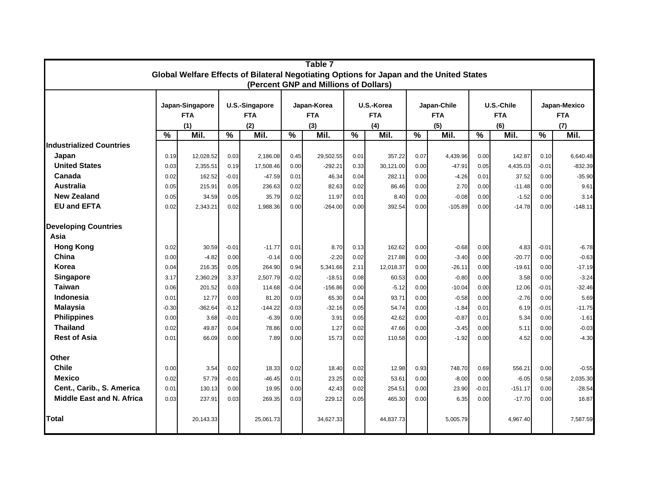| Table 7<br>Global Welfare Effects of Bilateral Negotiating Options for Japan and the United States |               |                 |                          |                |               |                                       |            |                       |             |                       |            |           |               |           |
|----------------------------------------------------------------------------------------------------|---------------|-----------------|--------------------------|----------------|---------------|---------------------------------------|------------|-----------------------|-------------|-----------------------|------------|-----------|---------------|-----------|
|                                                                                                    |               |                 |                          |                |               |                                       |            |                       |             |                       |            |           |               |           |
|                                                                                                    |               |                 |                          |                |               | (Percent GNP and Millions of Dollars) |            |                       |             |                       |            |           |               |           |
|                                                                                                    |               | Japan-Singapore |                          | U.S.-Singapore | Japan-Korea   |                                       | U.S.-Korea |                       | Japan-Chile |                       | U.S.-Chile |           | Japan-Mexico  |           |
|                                                                                                    | <b>FTA</b>    |                 |                          | <b>FTA</b>     |               | <b>FTA</b>                            |            | <b>FTA</b>            |             | <b>FTA</b>            | <b>FTA</b> |           | <b>FTA</b>    |           |
|                                                                                                    |               | (1)             |                          | (2)            |               | (3)                                   | (4)        |                       | (5)         |                       | (6)        |           | (7)           |           |
|                                                                                                    | $\frac{0}{0}$ | Mil.            | $\overline{\frac{9}{6}}$ | Mil.           | $\frac{0}{0}$ | Mil.                                  |            | $\frac{9}{6}$<br>Mil. |             | $\frac{9}{6}$<br>Mil. |            | Mil.      | $\frac{0}{0}$ | Mil.      |
| <b>Industrialized Countries</b>                                                                    |               |                 |                          |                |               |                                       |            |                       |             |                       |            |           |               |           |
| Japan                                                                                              | 0.19          | 12,028.52       | 0.03                     | 2,186.08       | 0.45          | 29,502.55                             | 0.01       | 357.22                | 0.07        | 4,439.96              | 0.00       | 142.87    | 0.10          | 6,640.48  |
| <b>United States</b>                                                                               | 0.03          | 2,355.51        | 0.19                     | 17,508.46      | 0.00          | $-292.21$                             | 0.33       | 30,121.00             | 0.00        | $-47.91$              | 0.05       | 4,435.03  | $-0.01$       | $-832.39$ |
| Canada                                                                                             | 0.02          | 162.52          | $-0.01$                  | $-47.59$       | 0.01          | 46.34                                 | 0.04       | 282.11                | 0.00        | $-4.26$               | 0.01       | 37.52     | 0.00          | $-35.90$  |
| Australia                                                                                          | 0.05          | 215.91          | 0.05                     | 236.63         | 0.02          | 82.63                                 | 0.02       | 86.46                 | 0.00        | 2.70                  | 0.00       | $-11.48$  | 0.00          | 9.61      |
| <b>New Zealand</b>                                                                                 | 0.05          | 34.59           | 0.05                     | 35.79          | 0.02          | 11.97                                 | 0.01       | 8.40                  | 0.00        | $-0.08$               | 0.00       | $-1.52$   | 0.00          | 3.14      |
| <b>EU and EFTA</b>                                                                                 | 0.02          | 2,343.21        | 0.02                     | 1,988.36       | 0.00          | $-264.00$                             | 0.00       | 392.54                | 0.00        | $-105.89$             | 0.00       | $-14.78$  | 0.00          | $-148.11$ |
| <b>Developing Countries</b>                                                                        |               |                 |                          |                |               |                                       |            |                       |             |                       |            |           |               |           |
| Asia                                                                                               |               |                 |                          |                |               |                                       |            |                       |             |                       |            |           |               |           |
| <b>Hong Kong</b>                                                                                   | 0.02          | 30.59           | $-0.01$                  | $-11.77$       | 0.01          | 8.70                                  | 0.13       | 162.62                | 0.00        | $-0.68$               | 0.00       | 4.83      | $-0.01$       | $-6.78$   |
| China                                                                                              | 0.00          | $-4.82$         | 0.00                     | $-0.14$        | 0.00          | $-2.20$                               | 0.02       | 217.88                | 0.00        | $-3.40$               | 0.00       | $-20.77$  | 0.00          | $-0.63$   |
| Korea                                                                                              | 0.04          | 216.35          | 0.05                     | 264.90         | 0.94          | 5,341.66                              | 2.11       | 12,018.37             | 0.00        | $-26.11$              | 0.00       | $-19.61$  | 0.00          | $-17.19$  |
| <b>Singapore</b>                                                                                   | 3.17          | 2,360.29        | 3.37                     | 2,507.79       | $-0.02$       | $-18.51$                              | 0.08       | 60.53                 | 0.00        | $-0.80$               | 0.00       | 3.58      | 0.00          | $-3.24$   |
| Taiwan                                                                                             | 0.06          | 201.52          | 0.03                     | 114.68         | $-0.04$       | $-156.86$                             | 0.00       | $-5.12$               | 0.00        | $-10.04$              | 0.00       | 12.06     | $-0.01$       | $-32.46$  |
| Indonesia                                                                                          | 0.01          | 12.77           | 0.03                     | 81.20          | 0.03          | 65.30                                 | 0.04       | 93.71                 | 0.00        | $-0.58$               | 0.00       | $-2.76$   | 0.00          | 5.69      |
| <b>Malaysia</b>                                                                                    | $-0.30$       | $-362.64$       | $-0.12$                  | $-144.22$      | $-0.03$       | $-32.16$                              | 0.05       | 54.74                 | 0.00        | $-1.84$               | 0.01       | 6.19      | $-0.01$       | $-11.75$  |
| <b>Philippines</b>                                                                                 | 0.00          | 3.68            | $-0.01$                  | $-6.39$        | 0.00          | 3.91                                  | 0.05       | 42.62                 | 0.00        | $-0.87$               | 0.01       | 5.34      | 0.00          | $-1.61$   |
| <b>Thailand</b>                                                                                    | 0.02          | 49.87           | 0.04                     | 78.86          | 0.00          | 1.27                                  | 0.02       | 47.66                 | 0.00        | $-3.45$               | 0.00       | 5.11      | 0.00          | $-0.03$   |
| <b>Rest of Asia</b>                                                                                | 0.01          | 66.09           | 0.00                     | 7.89           | 0.00          | 15.73                                 | 0.02       | 110.58                | 0.00        | $-1.92$               | 0.00       | 4.52      | 0.00          | $-4.30$   |
| Other                                                                                              |               |                 |                          |                |               |                                       |            |                       |             |                       |            |           |               |           |
| <b>Chile</b>                                                                                       | 0.00          | 3.54            | 0.02                     | 18.33          | 0.02          | 18.40                                 | 0.02       | 12.98                 | 0.93        | 748.70                | 0.69       | 556.21    | 0.00          | $-0.55$   |
| <b>Mexico</b>                                                                                      | 0.02          | 57.79           | $-0.01$                  | $-46.45$       | 0.01          | 23.25                                 | 0.02       | 53.61                 | 0.00        | $-8.00$               | 0.00       | $-6.05$   | 0.58          | 2,035.30  |
| Cent., Carib., S. America                                                                          | 0.01          | 130.13          | 0.00                     | 19.95          | 0.00          | 42.43                                 | 0.02       | 254.51                | 0.00        | 23.90                 | $-0.01$    | $-151.17$ | 0.00          | $-28.54$  |
| <b>Middle East and N. Africa</b>                                                                   | 0.03          | 237.91          | 0.03                     | 269.35         | 0.03          | 229.12                                | 0.05       | 465.30                | 0.00        | 6.35                  | 0.00       | $-17.70$  | 0.00          | 16.87     |
| <b>Total</b>                                                                                       |               | 20,143.33       |                          | 25,061.73      |               | 34,627.33                             |            | 44,837.73             |             | 5,005.79              |            | 4,967.40  |               | 7,587.59  |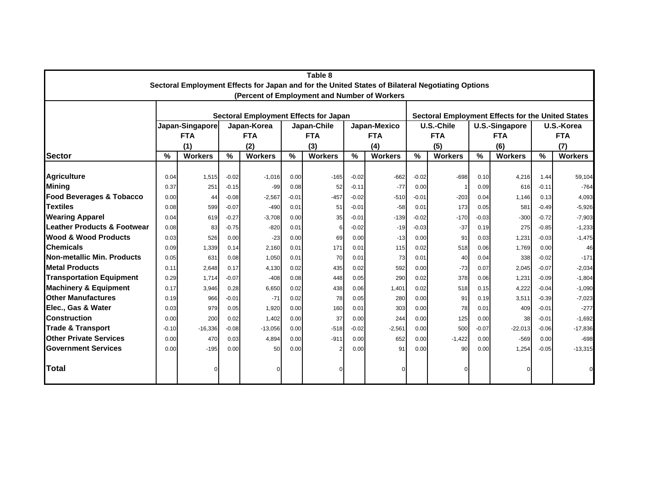| Table 8<br>Sectoral Employment Effects for Japan and for the United States of Bilateral Negotiating Options |                                |                |                    |                                              |               |                                                          |                    |                 |                 |                          |                       |                |                 |                  |
|-------------------------------------------------------------------------------------------------------------|--------------------------------|----------------|--------------------|----------------------------------------------|---------------|----------------------------------------------------------|--------------------|-----------------|-----------------|--------------------------|-----------------------|----------------|-----------------|------------------|
|                                                                                                             |                                |                |                    |                                              |               |                                                          |                    |                 |                 |                          |                       |                |                 |                  |
|                                                                                                             |                                |                |                    |                                              |               | (Percent of Employment and Number of Workers             |                    |                 |                 |                          |                       |                |                 |                  |
|                                                                                                             |                                |                |                    | <b>Sectoral Employment Effects for Japan</b> |               | <b>Sectoral Employment Effects for the United States</b> |                    |                 |                 |                          |                       |                |                 |                  |
|                                                                                                             | Japan-Singapore<br>Japan-Korea |                |                    |                                              |               | Japan-Chile                                              | Japan-Mexico       | U.S.-Chile      |                 |                          | <b>U.S.-Singapore</b> |                | U.S.-Korea      |                  |
|                                                                                                             |                                | <b>FTA</b>     |                    | <b>FTA</b>                                   |               | <b>FTA</b>                                               |                    | <b>FTA</b>      |                 | <b>FTA</b>               |                       | <b>FTA</b>     | <b>FTA</b>      |                  |
|                                                                                                             |                                | (1)            |                    | (2)                                          |               | (3)                                                      |                    | (4)             |                 | (5)                      |                       | (6)            |                 | (7)              |
| <b>Sector</b>                                                                                               | %                              | <b>Workers</b> | $\frac{9}{6}$      | <b>Workers</b>                               | $\frac{0}{0}$ | <b>Workers</b>                                           |                    | <b>Workers</b>  | $\frac{9}{6}$   | <b>Workers</b>           | $\frac{9}{6}$         | <b>Workers</b> | %               | <b>Workers</b>   |
| <b>Agriculture</b>                                                                                          |                                |                |                    |                                              |               |                                                          |                    |                 |                 |                          |                       |                |                 |                  |
| Mining                                                                                                      | 0.04<br>0.37                   | 1,515<br>251   | $-0.02$<br>$-0.15$ | $-1.016$<br>$-99$                            | 0.00<br>0.08  | $-165$<br>52                                             | $-0.02$<br>$-0.11$ | $-662$<br>$-77$ | $-0.02$<br>0.00 | $-698$<br>$\overline{1}$ | 0.10<br>0.09          | 4,216<br>616   | 1.44<br>$-0.11$ | 59,104<br>$-764$ |
| <b>Food Beverages &amp; Tobacco</b>                                                                         | 0.00                           | 44             | $-0.08$            | $-2,567$                                     | $-0.01$       | $-457$                                                   | $-0.02$            | $-510$          | $-0.01$         | $-203$                   | 0.04                  | 1,146          | 0.13            | 4,093            |
| <b>Textiles</b>                                                                                             | 0.08                           | 599            | $-0.07$            | $-490$                                       | 0.01          | 51                                                       | $-0.01$            | $-58$           | 0.01            | 173                      | 0.05                  | 581            | $-0.49$         | $-5,926$         |
| <b>Wearing Apparel</b>                                                                                      | 0.04                           | 619            | $-0.27$            | $-3,708$                                     | 0.00          | 35                                                       | $-0.01$            | $-139$          | $-0.02$         | $-170$                   | $-0.03$               | $-300$         | $-0.72$         | $-7,903$         |
| <b>Leather Products &amp; Footwear</b>                                                                      | 0.08                           | 83             | $-0.75$            | $-820$                                       | 0.01          |                                                          | $-0.02$            | $-19$           | $-0.03$         | $-37$                    | 0.19                  | 275            | $-0.85$         | $-1,233$         |
| <b>Wood &amp; Wood Products</b>                                                                             | 0.03                           | 526            | 0.00               | $-23$                                        | 0.00          | 69                                                       | 0.00               | $-13$           | 0.00            | 91                       | 0.03                  | 1,231          | $-0.03$         | $-1,475$         |
| <b>Chemicals</b>                                                                                            | 0.09                           | 1,339          | 0.14               | 2.160                                        | 0.01          | 171                                                      | 0.01               | 115             | 0.02            | 518                      | 0.06                  | 1,769          | 0.00            | 46               |
| Non-metallic Min. Products                                                                                  | 0.05                           | 631            | 0.08               | 1,050                                        | 0.01          | 70                                                       | 0.01               | 73              | 0.01            | 40                       | 0.04                  | 338            | $-0.02$         | $-171$           |
| <b>Metal Products</b>                                                                                       | 0.11                           | 2,648          | 0.17               | 4,130                                        | 0.02          | 435                                                      | 0.02               | 592             | 0.00            | $-73$                    | 0.07                  | 2.045          | $-0.07$         | $-2,034$         |
| <b>Transportation Equipment</b>                                                                             | 0.29                           | 1,714          | $-0.07$            | $-408$                                       | 0.08          | 448                                                      | 0.05               | 290             | 0.02            | 378                      | 0.06                  | 1,231          | $-0.09$         | $-1,804$         |
| <b>Machinery &amp; Equipment</b>                                                                            | 0.17                           | 3,946          | 0.28               | 6,650                                        | 0.02          | 438                                                      | 0.06               | 1,401           | 0.02            | 518                      | 0.15                  | 4,222          | $-0.04$         | $-1,090$         |
| <b>Other Manufactures</b>                                                                                   | 0.19                           | 966            | $-0.01$            | $-71$                                        | 0.02          | 78                                                       | 0.05               | 280             | 0.00            | 91                       | 0.19                  | 3,511          | $-0.39$         | $-7,023$         |
| Elec., Gas & Water                                                                                          | 0.03                           | 979            | 0.05               | 1,920                                        | 0.00          | 160                                                      | 0.01               | 303             | 0.00            | 78                       | 0.01                  | 409            | $-0.01$         | $-277$           |
| <b>Construction</b>                                                                                         | 0.00                           | 200            | 0.02               | 1.402                                        | 0.00          | 37                                                       | 0.00               | 244             | 0.00            | 125                      | 0.00                  | 38             | $-0.01$         | $-1,692$         |
| <b>Trade &amp; Transport</b>                                                                                | $-0.10$                        | $-16,336$      | $-0.08$            | $-13,056$                                    | 0.00          | $-518$                                                   | $-0.02$            | $-2,561$        | 0.00            | 500                      | $-0.07$               | $-22,013$      | $-0.06$         | $-17,836$        |
| <b>Other Private Services</b>                                                                               | 0.00                           | 470            | 0.03               | 4,894                                        | 0.00          | $-911$                                                   | 0.00               | 652             | 0.00            | $-1,422$                 | 0.00                  | $-569$         | 0.00            | $-698$           |
| <b>Government Services</b>                                                                                  | 0.00                           | $-195$         | 0.00               | 50                                           | 0.00          |                                                          | 0.00               | 91              | 0.00            | 90                       | 0.00                  | 1,254          | $-0.05$         | $-13,315$        |
| Total                                                                                                       |                                |                |                    |                                              |               | C                                                        |                    |                 |                 |                          |                       | $\Omega$       |                 | $\Omega$         |